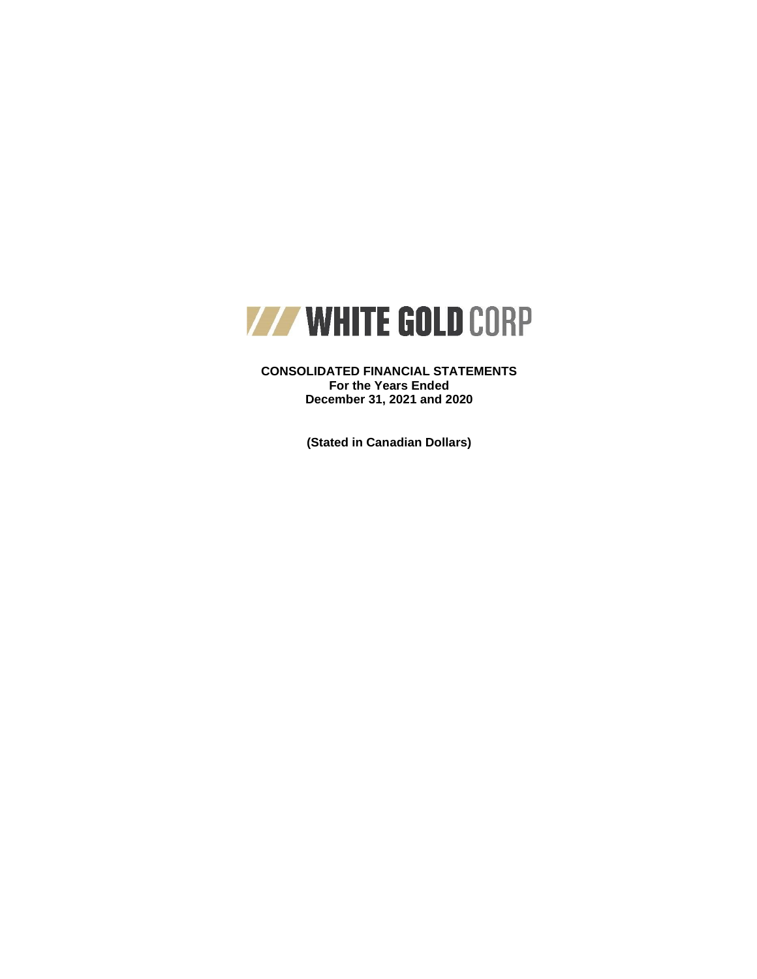

**CONSOLIDATED FINANCIAL STATEMENTS For the Years Ended December 31, 2021 and 2020**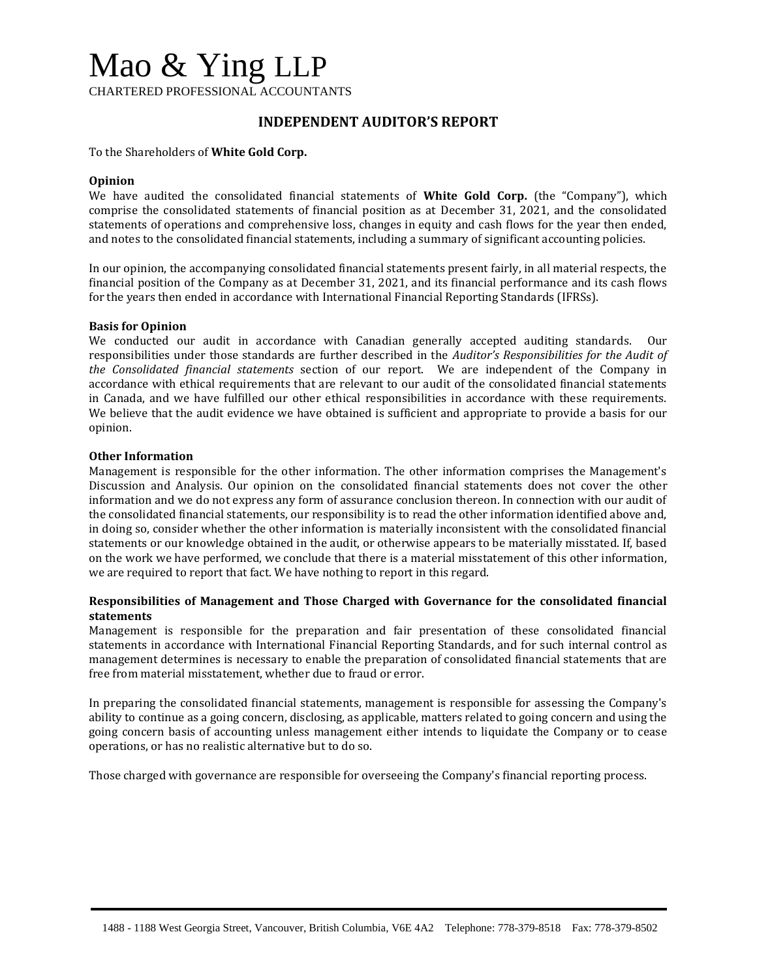# Mao & Ying LLP

CHARTERED PROFESSIONAL ACCOUNTANTS

# **INDEPENDENT AUDITOR'S REPORT**

#### To the Shareholders of **White Gold Corp.**

#### **Opinion**

We have audited the consolidated financial statements of **White Gold Corp.** (the "Company"), which comprise the consolidated statements of financial position as at December 31, 2021, and the consolidated statements of operations and comprehensive loss, changes in equity and cash flows for the year then ended, and notes to the consolidated financial statements, including a summary of significant accounting policies.

In our opinion, the accompanying consolidated financial statements present fairly, in all material respects, the financial position of the Company as at December 31, 2021, and its financial performance and its cash flows for the years then ended in accordance with International Financial Reporting Standards (IFRSs).

#### **Basis for Opinion**

We conducted our audit in accordance with Canadian generally accepted auditing standards. Our responsibilities under those standards are further described in the *Auditor's Responsibilities for the Audit of the Consolidated financial statements* section of our report. We are independent of the Company in accordance with ethical requirements that are relevant to our audit of the consolidated financial statements in Canada, and we have fulfilled our other ethical responsibilities in accordance with these requirements. We believe that the audit evidence we have obtained is sufficient and appropriate to provide a basis for our opinion.

#### **Other Information**

Management is responsible for the other information. The other information comprises the Management's Discussion and Analysis. Our opinion on the consolidated financial statements does not cover the other information and we do not express any form of assurance conclusion thereon. In connection with our audit of the consolidated financial statements, our responsibility is to read the other information identified above and, in doing so, consider whether the other information is materially inconsistent with the consolidated financial statements or our knowledge obtained in the audit, or otherwise appears to be materially misstated. If, based on the work we have performed, we conclude that there is a material misstatement of this other information, we are required to report that fact. We have nothing to report in this regard.

## **Responsibilities of Management and Those Charged with Governance for the consolidated financial statements**

Management is responsible for the preparation and fair presentation of these consolidated financial statements in accordance with International Financial Reporting Standards, and for such internal control as management determines is necessary to enable the preparation of consolidated financial statements that are free from material misstatement, whether due to fraud or error.

In preparing the consolidated financial statements, management is responsible for assessing the Company's ability to continue as a going concern, disclosing, as applicable, matters related to going concern and using the going concern basis of accounting unless management either intends to liquidate the Company or to cease operations, or has no realistic alternative but to do so.

Those charged with governance are responsible for overseeing the Company's financial reporting process.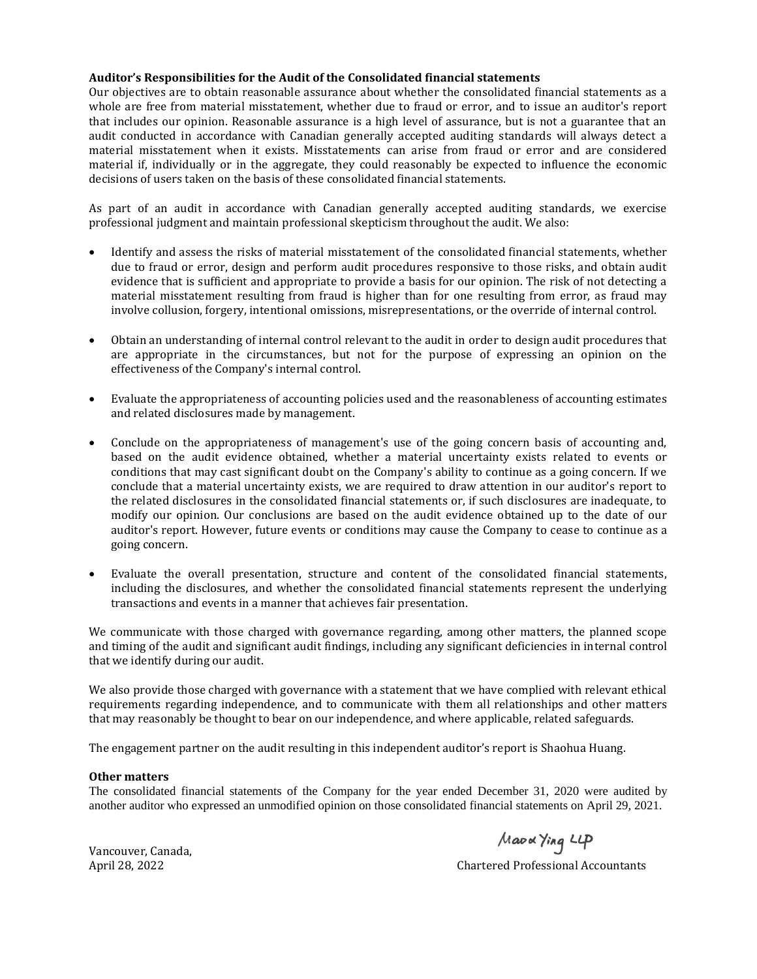## **Auditor's Responsibilities for the Audit of the Consolidated financial statements**

Our objectives are to obtain reasonable assurance about whether the consolidated financial statements as a whole are free from material misstatement, whether due to fraud or error, and to issue an auditor's report that includes our opinion. Reasonable assurance is a high level of assurance, but is not a guarantee that an audit conducted in accordance with Canadian generally accepted auditing standards will always detect a material misstatement when it exists. Misstatements can arise from fraud or error and are considered material if, individually or in the aggregate, they could reasonably be expected to influence the economic decisions of users taken on the basis of these consolidated financial statements.

As part of an audit in accordance with Canadian generally accepted auditing standards, we exercise professional judgment and maintain professional skepticism throughout the audit. We also:

- Identify and assess the risks of material misstatement of the consolidated financial statements, whether due to fraud or error, design and perform audit procedures responsive to those risks, and obtain audit evidence that is sufficient and appropriate to provide a basis for our opinion. The risk of not detecting a material misstatement resulting from fraud is higher than for one resulting from error, as fraud may involve collusion, forgery, intentional omissions, misrepresentations, or the override of internal control.
- Obtain an understanding of internal control relevant to the audit in order to design audit procedures that are appropriate in the circumstances, but not for the purpose of expressing an opinion on the effectiveness of the Company's internal control.
- Evaluate the appropriateness of accounting policies used and the reasonableness of accounting estimates and related disclosures made by management.
- Conclude on the appropriateness of management's use of the going concern basis of accounting and, based on the audit evidence obtained, whether a material uncertainty exists related to events or conditions that may cast significant doubt on the Company's ability to continue as a going concern. If we conclude that a material uncertainty exists, we are required to draw attention in our auditor's report to the related disclosures in the consolidated financial statements or, if such disclosures are inadequate, to modify our opinion. Our conclusions are based on the audit evidence obtained up to the date of our auditor's report. However, future events or conditions may cause the Company to cease to continue as a going concern.
- Evaluate the overall presentation, structure and content of the consolidated financial statements, including the disclosures, and whether the consolidated financial statements represent the underlying transactions and events in a manner that achieves fair presentation.

We communicate with those charged with governance regarding, among other matters, the planned scope and timing of the audit and significant audit findings, including any significant deficiencies in internal control that we identify during our audit.

We also provide those charged with governance with a statement that we have complied with relevant ethical requirements regarding independence, and to communicate with them all relationships and other matters that may reasonably be thought to bear on our independence, and where applicable, related safeguards.

The engagement partner on the audit resulting in this independent auditor's report is Shaohua Huang.

#### **Other matters**

The consolidated financial statements of the Company for the year ended December 31, 2020 were audited by another auditor who expressed an unmodified opinion on those consolidated financial statements on April 29, 2021.

Vancouver, Canada,

Maox Ying LLP

April 28, 2022 Chartered Professional Accountants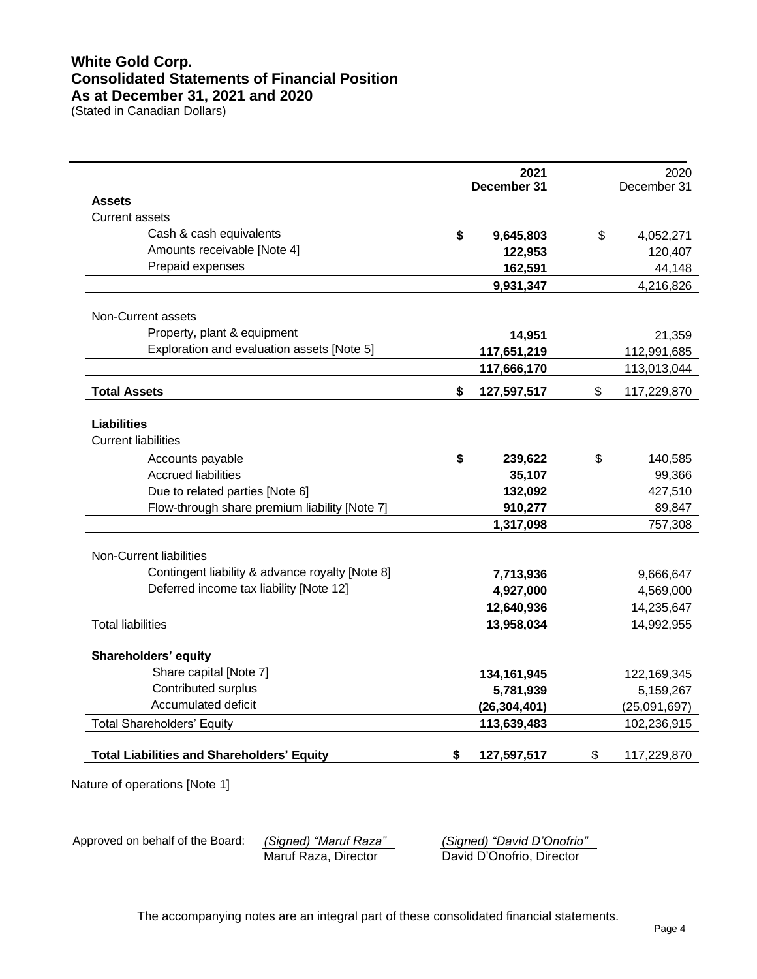# **White Gold Corp. Consolidated Statements of Financial Position As at December 31, 2021 and 2020**

(Stated in Canadian Dollars)

|                                                   | 2021              | 2020              |
|---------------------------------------------------|-------------------|-------------------|
| <b>Assets</b>                                     | December 31       | December 31       |
| <b>Current assets</b>                             |                   |                   |
| Cash & cash equivalents                           | \$<br>9,645,803   | \$<br>4,052,271   |
| Amounts receivable [Note 4]                       | 122,953           | 120,407           |
| Prepaid expenses                                  | 162,591           | 44,148            |
|                                                   | 9,931,347         | 4,216,826         |
|                                                   |                   |                   |
| Non-Current assets                                |                   |                   |
| Property, plant & equipment                       | 14,951            | 21,359            |
| Exploration and evaluation assets [Note 5]        | 117,651,219       | 112,991,685       |
|                                                   | 117,666,170       | 113,013,044       |
| <b>Total Assets</b>                               | \$<br>127,597,517 | \$<br>117,229,870 |
| <b>Liabilities</b>                                |                   |                   |
| <b>Current liabilities</b>                        |                   |                   |
| Accounts payable                                  | \$<br>239,622     | \$<br>140,585     |
| <b>Accrued liabilities</b>                        | 35,107            | 99,366            |
| Due to related parties [Note 6]                   | 132,092           | 427,510           |
| Flow-through share premium liability [Note 7]     | 910,277           | 89,847            |
|                                                   | 1,317,098         | 757,308           |
| Non-Current liabilities                           |                   |                   |
| Contingent liability & advance royalty [Note 8]   | 7,713,936         | 9,666,647         |
| Deferred income tax liability [Note 12]           | 4,927,000         | 4,569,000         |
|                                                   | 12,640,936        | 14,235,647        |
| <b>Total liabilities</b>                          | 13,958,034        | 14,992,955        |
| <b>Shareholders' equity</b>                       |                   |                   |
| Share capital [Note 7]                            | 134, 161, 945     | 122,169,345       |
| Contributed surplus                               | 5,781,939         | 5,159,267         |
| Accumulated deficit                               | (26, 304, 401)    | (25,091,697)      |
| <b>Total Shareholders' Equity</b>                 | 113,639,483       | 102,236,915       |
| <b>Total Liabilities and Shareholders' Equity</b> | \$<br>127,597,517 | \$<br>117,229,870 |

Approved on behalf of the Board: *(Signed) "Maruf Raza" (Signed) "David D'Onofrio"*

Maruf Raza, Director **David D'Onofrio, Director**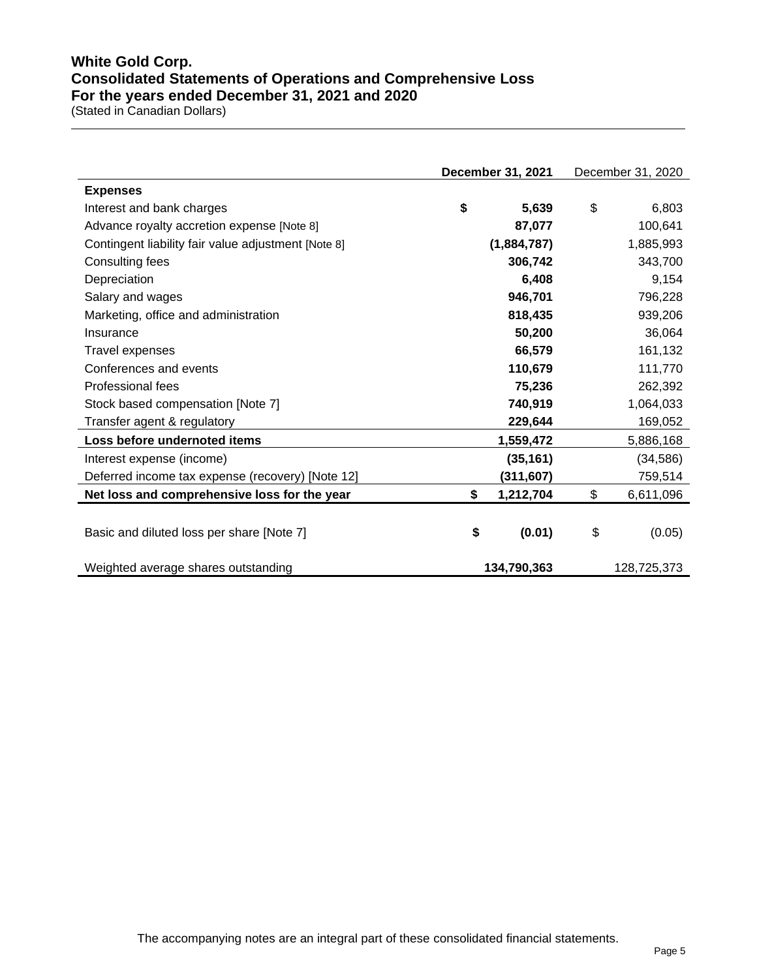# **White Gold Corp. Consolidated Statements of Operations and Comprehensive Loss For the years ended December 31, 2021 and 2020**

|                                                     | December 31, 2021 | December 31, 2020 |
|-----------------------------------------------------|-------------------|-------------------|
| <b>Expenses</b>                                     |                   |                   |
| Interest and bank charges                           | \$<br>5,639       | \$<br>6,803       |
| Advance royalty accretion expense [Note 8]          | 87,077            | 100,641           |
| Contingent liability fair value adjustment [Note 8] | (1,884,787)       | 1,885,993         |
| Consulting fees                                     | 306,742           | 343,700           |
| Depreciation                                        | 6,408             | 9,154             |
| Salary and wages                                    | 946,701           | 796,228           |
| Marketing, office and administration                | 818,435           | 939,206           |
| Insurance                                           | 50,200            | 36,064            |
| Travel expenses                                     | 66,579            | 161,132           |
| Conferences and events                              | 110,679           | 111,770           |
| Professional fees                                   | 75,236            | 262,392           |
| Stock based compensation [Note 7]                   | 740,919           | 1,064,033         |
| Transfer agent & regulatory                         | 229,644           | 169,052           |
| Loss before undernoted items                        | 1,559,472         | 5,886,168         |
| Interest expense (income)                           | (35, 161)         | (34, 586)         |
| Deferred income tax expense (recovery) [Note 12]    | (311,607)         | 759,514           |
| Net loss and comprehensive loss for the year        | \$<br>1,212,704   | \$<br>6,611,096   |
|                                                     |                   |                   |
| Basic and diluted loss per share [Note 7]           | \$<br>(0.01)      | \$<br>(0.05)      |
| Weighted average shares outstanding                 | 134,790,363       | 128,725,373       |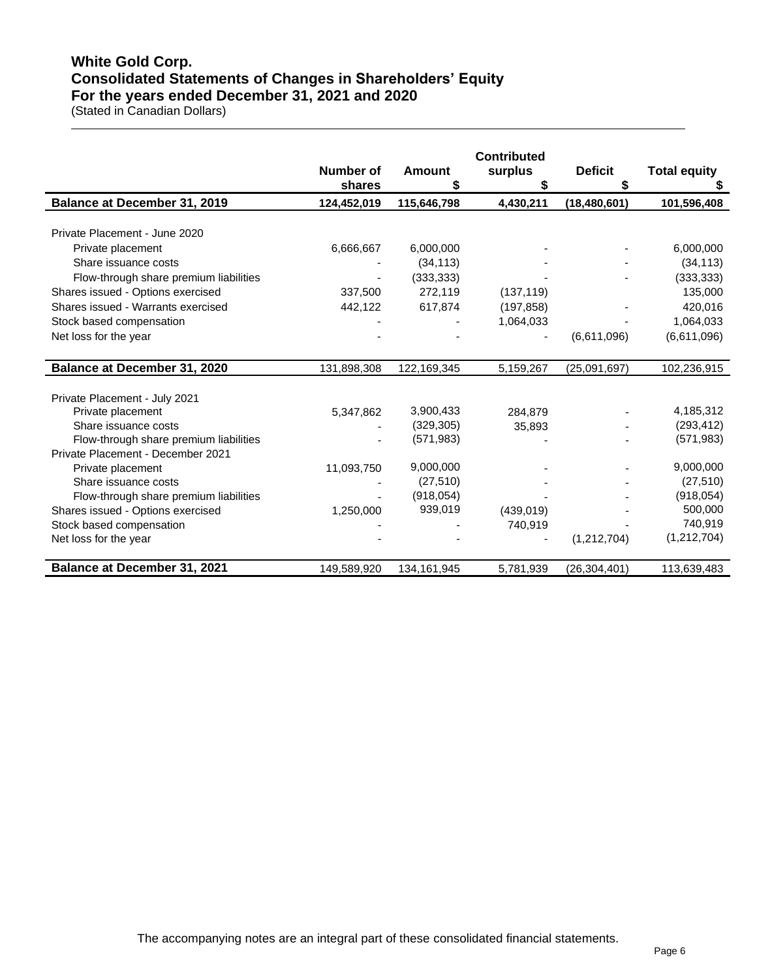# **White Gold Corp. Consolidated Statements of Changes in Shareholders' Equity For the years ended December 31, 2021 and 2020**

|                                        | <b>Number of</b> | Amount        | <b>Contributed</b><br>surplus | <b>Deficit</b> | <b>Total equity</b> |
|----------------------------------------|------------------|---------------|-------------------------------|----------------|---------------------|
|                                        | shares           |               |                               | S              | S                   |
| Balance at December 31, 2019           | 124,452,019      | 115,646,798   | 4,430,211                     | (18, 480, 601) | 101,596,408         |
| Private Placement - June 2020          |                  |               |                               |                |                     |
| Private placement                      | 6,666,667        | 6,000,000     |                               |                | 6,000,000           |
| Share issuance costs                   |                  | (34, 113)     |                               |                | (34, 113)           |
| Flow-through share premium liabilities |                  | (333, 333)    |                               |                | (333, 333)          |
| Shares issued - Options exercised      | 337,500          | 272,119       | (137, 119)                    |                | 135,000             |
| Shares issued - Warrants exercised     | 442,122          | 617,874       | (197, 858)                    |                | 420,016             |
| Stock based compensation               |                  |               | 1,064,033                     |                | 1,064,033           |
| Net loss for the year                  |                  |               |                               | (6,611,096)    | (6,611,096)         |
|                                        |                  |               |                               |                |                     |
| Balance at December 31, 2020           | 131,898,308      | 122,169,345   | 5,159,267                     | (25,091,697)   | 102,236,915         |
|                                        |                  |               |                               |                |                     |
| Private Placement - July 2021          |                  |               |                               |                |                     |
| Private placement                      | 5,347,862        | 3,900,433     | 284,879                       |                | 4,185,312           |
| Share issuance costs                   |                  | (329, 305)    | 35,893                        |                | (293, 412)          |
| Flow-through share premium liabilities |                  | (571, 983)    |                               |                | (571, 983)          |
| Private Placement - December 2021      |                  |               |                               |                |                     |
| Private placement                      | 11,093,750       | 9,000,000     |                               |                | 9,000,000           |
| Share issuance costs                   |                  | (27, 510)     |                               |                | (27, 510)           |
| Flow-through share premium liabilities |                  | (918, 054)    |                               |                | (918, 054)          |
| Shares issued - Options exercised      | 1,250,000        | 939,019       | (439,019)                     |                | 500,000             |
| Stock based compensation               |                  |               | 740,919                       |                | 740,919             |
| Net loss for the year                  |                  |               |                               | (1,212,704)    | (1,212,704)         |
| <b>Balance at December 31, 2021</b>    | 149,589,920      | 134, 161, 945 | 5,781,939                     | (26, 304, 401) | 113,639,483         |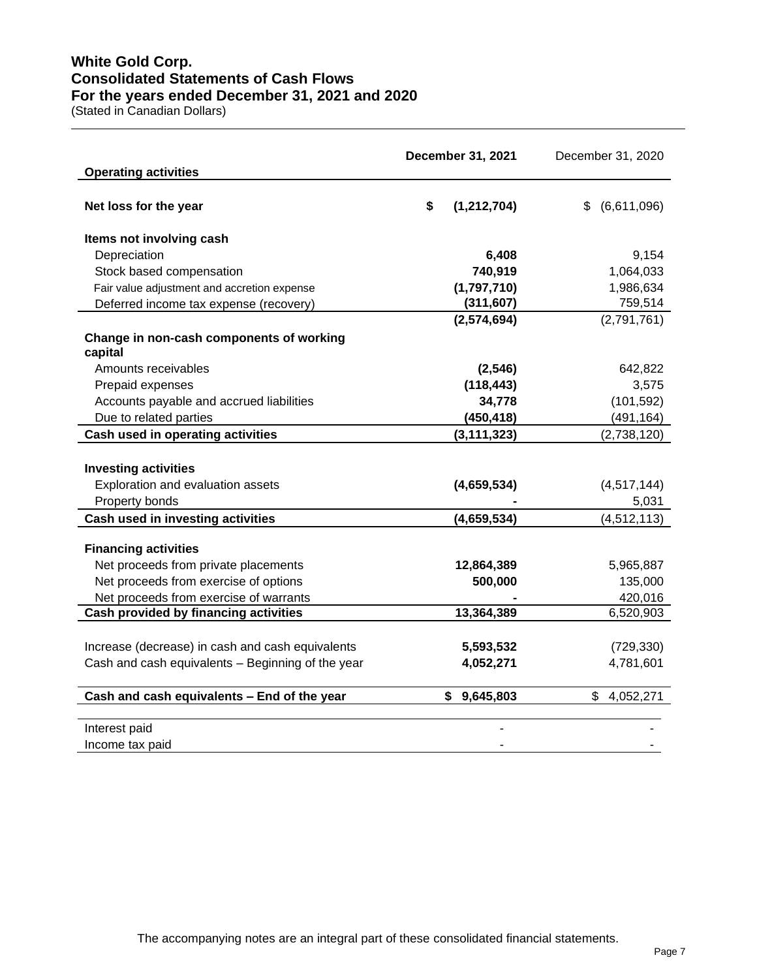# **White Gold Corp. Consolidated Statements of Cash Flows For the years ended December 31, 2021 and 2020**

|                                                                                                       | December 31, 2021      | December 31, 2020       |
|-------------------------------------------------------------------------------------------------------|------------------------|-------------------------|
| <b>Operating activities</b>                                                                           |                        |                         |
| Net loss for the year                                                                                 | \$<br>(1, 212, 704)    | (6,611,096)<br>\$       |
| Items not involving cash                                                                              |                        |                         |
| Depreciation                                                                                          | 6,408                  | 9,154                   |
| Stock based compensation                                                                              | 740,919                | 1,064,033               |
| Fair value adjustment and accretion expense                                                           | (1,797,710)            | 1,986,634               |
| Deferred income tax expense (recovery)                                                                | (311, 607)             | 759,514                 |
|                                                                                                       | (2,574,694)            | (2,791,761)             |
| Change in non-cash components of working<br>capital                                                   |                        |                         |
| Amounts receivables                                                                                   | (2, 546)               | 642,822                 |
| Prepaid expenses                                                                                      | (118, 443)             | 3,575                   |
| Accounts payable and accrued liabilities                                                              | 34,778                 | (101, 592)              |
| Due to related parties                                                                                | (450, 418)             | (491, 164)              |
| Cash used in operating activities                                                                     | (3, 111, 323)          | (2,738,120)             |
| <b>Investing activities</b>                                                                           |                        |                         |
| Exploration and evaluation assets                                                                     | (4,659,534)            | (4, 517, 144)           |
| Property bonds                                                                                        |                        | 5,031                   |
| Cash used in investing activities                                                                     | (4,659,534)            | (4, 512, 113)           |
| <b>Financing activities</b>                                                                           |                        |                         |
| Net proceeds from private placements                                                                  | 12,864,389             | 5,965,887               |
| Net proceeds from exercise of options                                                                 | 500,000                | 135,000                 |
| Net proceeds from exercise of warrants                                                                |                        | 420,016                 |
| <b>Cash provided by financing activities</b>                                                          | 13,364,389             | 6,520,903               |
| Increase (decrease) in cash and cash equivalents<br>Cash and cash equivalents - Beginning of the year | 5,593,532<br>4,052,271 | (729, 330)<br>4,781,601 |
| Cash and cash equivalents - End of the year                                                           | \$9,645,803            | \$<br>4,052,271         |
| Interest paid                                                                                         |                        |                         |
| Income tax paid                                                                                       |                        |                         |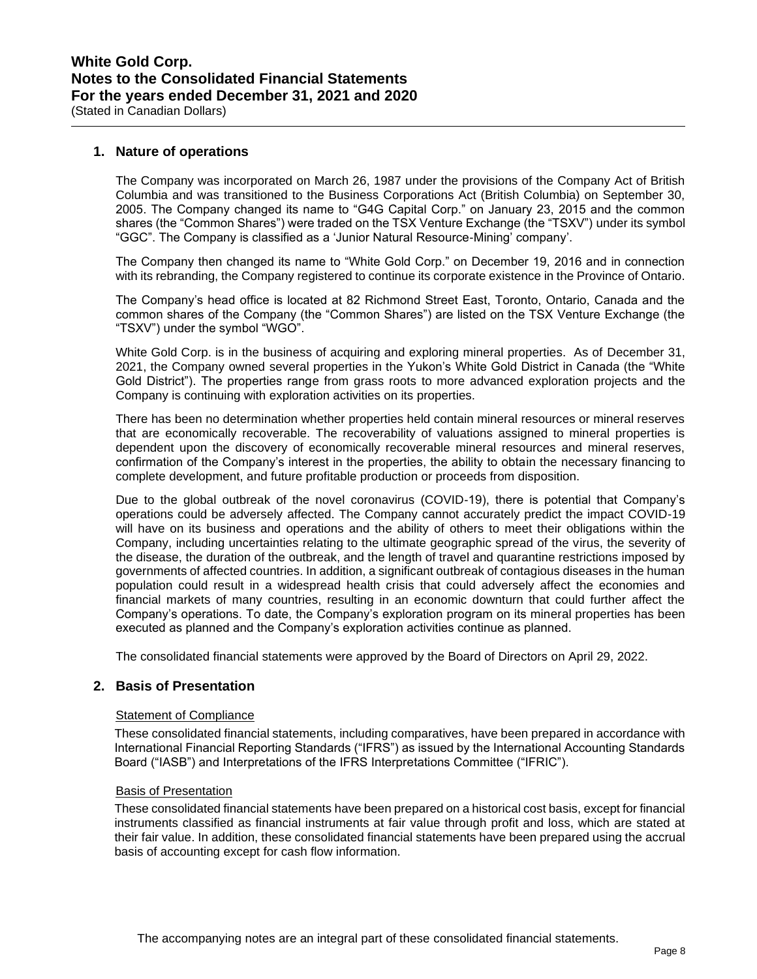## **1. Nature of operations**

The Company was incorporated on March 26, 1987 under the provisions of the Company Act of British Columbia and was transitioned to the Business Corporations Act (British Columbia) on September 30, 2005. The Company changed its name to "G4G Capital Corp." on January 23, 2015 and the common shares (the "Common Shares") were traded on the TSX Venture Exchange (the "TSXV") under its symbol "GGC". The Company is classified as a 'Junior Natural Resource-Mining' company'.

The Company then changed its name to "White Gold Corp." on December 19, 2016 and in connection with its rebranding, the Company registered to continue its corporate existence in the Province of Ontario.

The Company's head office is located at 82 Richmond Street East, Toronto, Ontario, Canada and the common shares of the Company (the "Common Shares") are listed on the TSX Venture Exchange (the "TSXV") under the symbol "WGO".

White Gold Corp. is in the business of acquiring and exploring mineral properties. As of December 31, 2021, the Company owned several properties in the Yukon's White Gold District in Canada (the "White Gold District"). The properties range from grass roots to more advanced exploration projects and the Company is continuing with exploration activities on its properties.

There has been no determination whether properties held contain mineral resources or mineral reserves that are economically recoverable. The recoverability of valuations assigned to mineral properties is dependent upon the discovery of economically recoverable mineral resources and mineral reserves, confirmation of the Company's interest in the properties, the ability to obtain the necessary financing to complete development, and future profitable production or proceeds from disposition.

Due to the global outbreak of the novel coronavirus (COVID-19), there is potential that Company's operations could be adversely affected. The Company cannot accurately predict the impact COVID-19 will have on its business and operations and the ability of others to meet their obligations within the Company, including uncertainties relating to the ultimate geographic spread of the virus, the severity of the disease, the duration of the outbreak, and the length of travel and quarantine restrictions imposed by governments of affected countries. In addition, a significant outbreak of contagious diseases in the human population could result in a widespread health crisis that could adversely affect the economies and financial markets of many countries, resulting in an economic downturn that could further affect the Company's operations. To date, the Company's exploration program on its mineral properties has been executed as planned and the Company's exploration activities continue as planned.

The consolidated financial statements were approved by the Board of Directors on April 29, 2022.

# **2. Basis of Presentation**

## Statement of Compliance

These consolidated financial statements, including comparatives, have been prepared in accordance with International Financial Reporting Standards ("IFRS") as issued by the International Accounting Standards Board ("IASB") and Interpretations of the IFRS Interpretations Committee ("IFRIC").

## Basis of Presentation

These consolidated financial statements have been prepared on a historical cost basis, except for financial instruments classified as financial instruments at fair value through profit and loss, which are stated at their fair value. In addition, these consolidated financial statements have been prepared using the accrual basis of accounting except for cash flow information.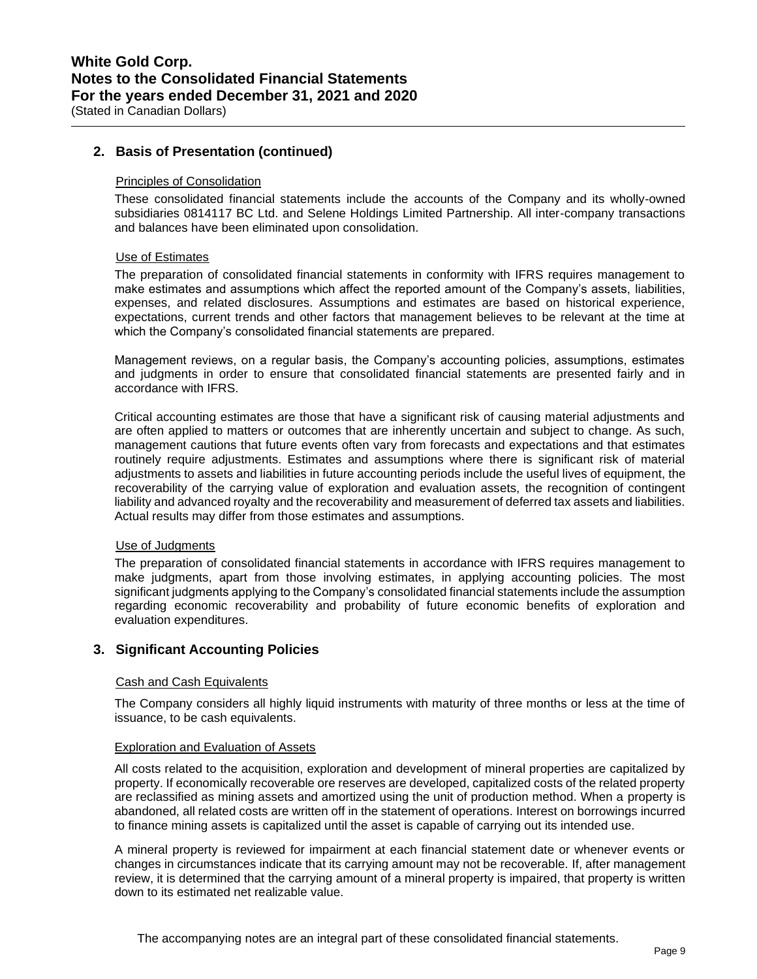# **2. Basis of Presentation (continued)**

## Principles of Consolidation

These consolidated financial statements include the accounts of the Company and its wholly-owned subsidiaries 0814117 BC Ltd. and Selene Holdings Limited Partnership. All inter-company transactions and balances have been eliminated upon consolidation.

## Use of Estimates

The preparation of consolidated financial statements in conformity with IFRS requires management to make estimates and assumptions which affect the reported amount of the Company's assets, liabilities, expenses, and related disclosures. Assumptions and estimates are based on historical experience, expectations, current trends and other factors that management believes to be relevant at the time at which the Company's consolidated financial statements are prepared.

Management reviews, on a regular basis, the Company's accounting policies, assumptions, estimates and judgments in order to ensure that consolidated financial statements are presented fairly and in accordance with IFRS.

Critical accounting estimates are those that have a significant risk of causing material adjustments and are often applied to matters or outcomes that are inherently uncertain and subject to change. As such, management cautions that future events often vary from forecasts and expectations and that estimates routinely require adjustments. Estimates and assumptions where there is significant risk of material adjustments to assets and liabilities in future accounting periods include the useful lives of equipment, the recoverability of the carrying value of exploration and evaluation assets, the recognition of contingent liability and advanced royalty and the recoverability and measurement of deferred tax assets and liabilities. Actual results may differ from those estimates and assumptions.

#### Use of Judgments

The preparation of consolidated financial statements in accordance with IFRS requires management to make judgments, apart from those involving estimates, in applying accounting policies. The most significant judgments applying to the Company's consolidated financial statements include the assumption regarding economic recoverability and probability of future economic benefits of exploration and evaluation expenditures.

## **3. Significant Accounting Policies**

#### Cash and Cash Equivalents

The Company considers all highly liquid instruments with maturity of three months or less at the time of issuance, to be cash equivalents.

#### Exploration and Evaluation of Assets

All costs related to the acquisition, exploration and development of mineral properties are capitalized by property. If economically recoverable ore reserves are developed, capitalized costs of the related property are reclassified as mining assets and amortized using the unit of production method. When a property is abandoned, all related costs are written off in the statement of operations. Interest on borrowings incurred to finance mining assets is capitalized until the asset is capable of carrying out its intended use.

A mineral property is reviewed for impairment at each financial statement date or whenever events or changes in circumstances indicate that its carrying amount may not be recoverable. If, after management review, it is determined that the carrying amount of a mineral property is impaired, that property is written down to its estimated net realizable value.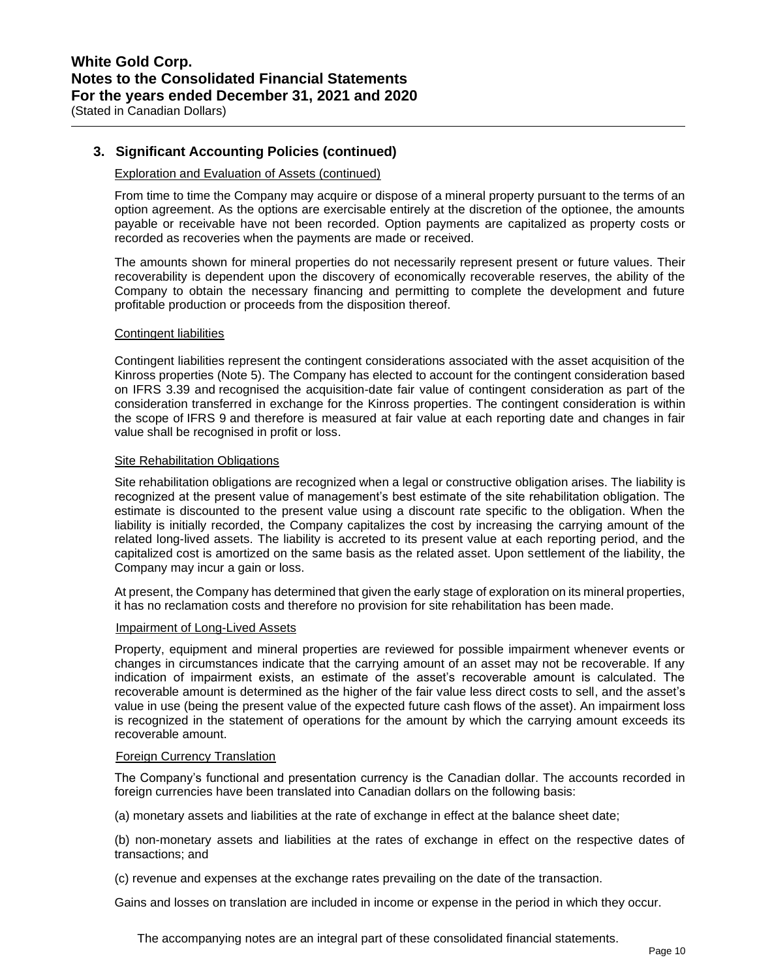# **3. Significant Accounting Policies (continued)**

#### Exploration and Evaluation of Assets (continued)

From time to time the Company may acquire or dispose of a mineral property pursuant to the terms of an option agreement. As the options are exercisable entirely at the discretion of the optionee, the amounts payable or receivable have not been recorded. Option payments are capitalized as property costs or recorded as recoveries when the payments are made or received.

The amounts shown for mineral properties do not necessarily represent present or future values. Their recoverability is dependent upon the discovery of economically recoverable reserves, the ability of the Company to obtain the necessary financing and permitting to complete the development and future profitable production or proceeds from the disposition thereof.

#### Contingent liabilities

Contingent liabilities represent the contingent considerations associated with the asset acquisition of the Kinross properties (Note 5). The Company has elected to account for the contingent consideration based on IFRS 3.39 and recognised the acquisition-date fair value of contingent consideration as part of the consideration transferred in exchange for the Kinross properties. The contingent consideration is within the scope of [IFRS 9](https://www.knotia.ca/Knowledge/Home.aspx?productID=126) and therefore is measured at fair value at each reporting date and changes in fair value shall be recognised in profit or loss.

#### Site Rehabilitation Obligations

Site rehabilitation obligations are recognized when a legal or constructive obligation arises. The liability is recognized at the present value of management's best estimate of the site rehabilitation obligation. The estimate is discounted to the present value using a discount rate specific to the obligation. When the liability is initially recorded, the Company capitalizes the cost by increasing the carrying amount of the related long-lived assets. The liability is accreted to its present value at each reporting period, and the capitalized cost is amortized on the same basis as the related asset. Upon settlement of the liability, the Company may incur a gain or loss.

At present, the Company has determined that given the early stage of exploration on its mineral properties, it has no reclamation costs and therefore no provision for site rehabilitation has been made.

#### Impairment of Long-Lived Assets

Property, equipment and mineral properties are reviewed for possible impairment whenever events or changes in circumstances indicate that the carrying amount of an asset may not be recoverable. If any indication of impairment exists, an estimate of the asset's recoverable amount is calculated. The recoverable amount is determined as the higher of the fair value less direct costs to sell, and the asset's value in use (being the present value of the expected future cash flows of the asset). An impairment loss is recognized in the statement of operations for the amount by which the carrying amount exceeds its recoverable amount.

#### Foreign Currency Translation

The Company's functional and presentation currency is the Canadian dollar. The accounts recorded in foreign currencies have been translated into Canadian dollars on the following basis:

(a) monetary assets and liabilities at the rate of exchange in effect at the balance sheet date;

(b) non-monetary assets and liabilities at the rates of exchange in effect on the respective dates of transactions; and

(c) revenue and expenses at the exchange rates prevailing on the date of the transaction.

Gains and losses on translation are included in income or expense in the period in which they occur.

The accompanying notes are an integral part of these consolidated financial statements.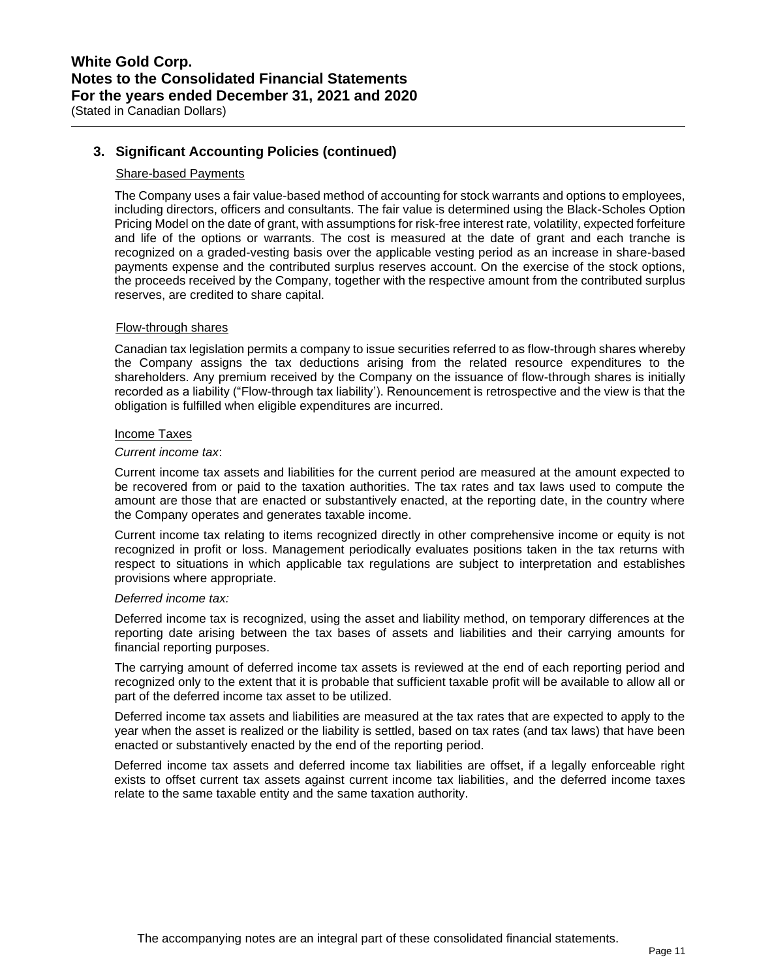# **3. Significant Accounting Policies (continued)**

#### Share-based Payments

The Company uses a fair value-based method of accounting for stock warrants and options to employees, including directors, officers and consultants. The fair value is determined using the Black-Scholes Option Pricing Model on the date of grant, with assumptions for risk-free interest rate, volatility, expected forfeiture and life of the options or warrants. The cost is measured at the date of grant and each tranche is recognized on a graded-vesting basis over the applicable vesting period as an increase in share-based payments expense and the contributed surplus reserves account. On the exercise of the stock options, the proceeds received by the Company, together with the respective amount from the contributed surplus reserves, are credited to share capital.

#### Flow-through shares

Canadian tax legislation permits a company to issue securities referred to as flow-through shares whereby the Company assigns the tax deductions arising from the related resource expenditures to the shareholders. Any premium received by the Company on the issuance of flow-through shares is initially recorded as a liability ("Flow-through tax liability'). Renouncement is retrospective and the view is that the obligation is fulfilled when eligible expenditures are incurred.

#### Income Taxes

#### *Current income tax*:

Current income tax assets and liabilities for the current period are measured at the amount expected to be recovered from or paid to the taxation authorities. The tax rates and tax laws used to compute the amount are those that are enacted or substantively enacted, at the reporting date, in the country where the Company operates and generates taxable income.

Current income tax relating to items recognized directly in other comprehensive income or equity is not recognized in profit or loss. Management periodically evaluates positions taken in the tax returns with respect to situations in which applicable tax regulations are subject to interpretation and establishes provisions where appropriate.

#### *Deferred income tax:*

Deferred income tax is recognized, using the asset and liability method, on temporary differences at the reporting date arising between the tax bases of assets and liabilities and their carrying amounts for financial reporting purposes.

The carrying amount of deferred income tax assets is reviewed at the end of each reporting period and recognized only to the extent that it is probable that sufficient taxable profit will be available to allow all or part of the deferred income tax asset to be utilized.

Deferred income tax assets and liabilities are measured at the tax rates that are expected to apply to the year when the asset is realized or the liability is settled, based on tax rates (and tax laws) that have been enacted or substantively enacted by the end of the reporting period.

Deferred income tax assets and deferred income tax liabilities are offset, if a legally enforceable right exists to offset current tax assets against current income tax liabilities, and the deferred income taxes relate to the same taxable entity and the same taxation authority.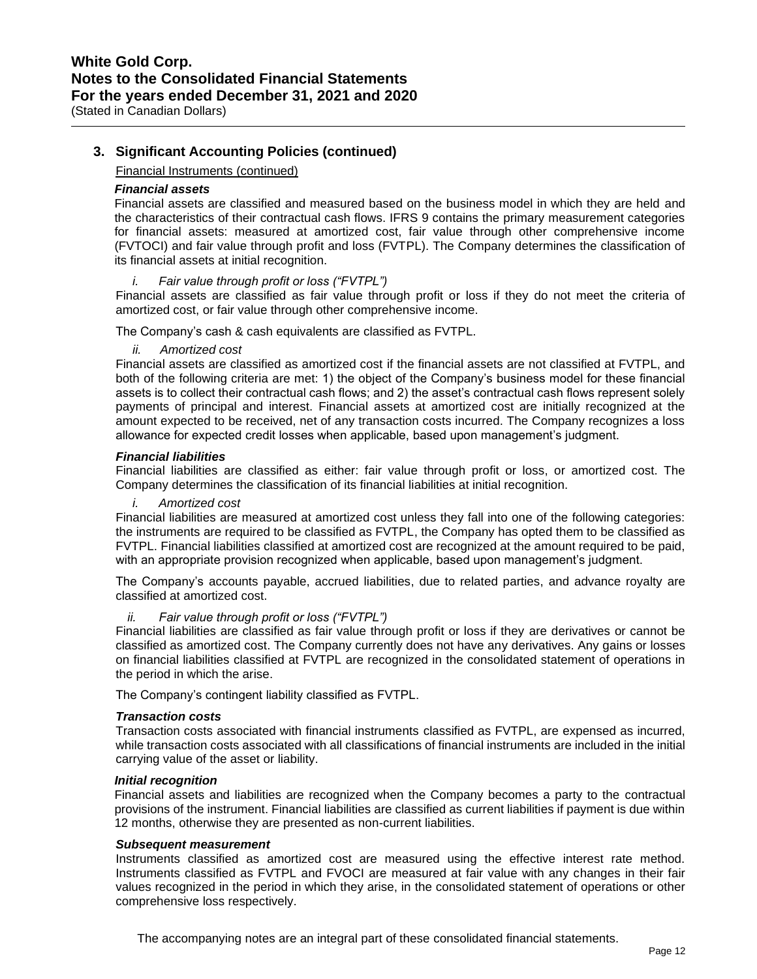# **3. Significant Accounting Policies (continued)**

Financial Instruments (continued)

#### *Financial assets*

Financial assets are classified and measured based on the business model in which they are held and the characteristics of their contractual cash flows. IFRS 9 contains the primary measurement categories for financial assets: measured at amortized cost, fair value through other comprehensive income (FVTOCI) and fair value through profit and loss (FVTPL). The Company determines the classification of its financial assets at initial recognition.

## *i. Fair value through profit or loss ("FVTPL")*

Financial assets are classified as fair value through profit or loss if they do not meet the criteria of amortized cost, or fair value through other comprehensive income.

The Company's cash & cash equivalents are classified as FVTPL.

*ii. Amortized cost*

Financial assets are classified as amortized cost if the financial assets are not classified at FVTPL, and both of the following criteria are met: 1) the object of the Company's business model for these financial assets is to collect their contractual cash flows; and 2) the asset's contractual cash flows represent solely payments of principal and interest. Financial assets at amortized cost are initially recognized at the amount expected to be received, net of any transaction costs incurred. The Company recognizes a loss allowance for expected credit losses when applicable, based upon management's judgment.

#### *Financial liabilities*

Financial liabilities are classified as either: fair value through profit or loss, or amortized cost. The Company determines the classification of its financial liabilities at initial recognition.

*i. Amortized cost* 

Financial liabilities are measured at amortized cost unless they fall into one of the following categories: the instruments are required to be classified as FVTPL, the Company has opted them to be classified as FVTPL. Financial liabilities classified at amortized cost are recognized at the amount required to be paid, with an appropriate provision recognized when applicable, based upon management's judgment.

The Company's accounts payable, accrued liabilities, due to related parties, and advance royalty are classified at amortized cost.

## *Fair value through profit or loss ("FVTPL")*

Financial liabilities are classified as fair value through profit or loss if they are derivatives or cannot be classified as amortized cost. The Company currently does not have any derivatives. Any gains or losses on financial liabilities classified at FVTPL are recognized in the consolidated statement of operations in the period in which the arise.

The Company's contingent liability classified as FVTPL.

#### *Transaction costs*

Transaction costs associated with financial instruments classified as FVTPL, are expensed as incurred, while transaction costs associated with all classifications of financial instruments are included in the initial carrying value of the asset or liability.

#### *Initial recognition*

Financial assets and liabilities are recognized when the Company becomes a party to the contractual provisions of the instrument. Financial liabilities are classified as current liabilities if payment is due within 12 months, otherwise they are presented as non-current liabilities.

#### *Subsequent measurement*

Instruments classified as amortized cost are measured using the effective interest rate method. Instruments classified as FVTPL and FVOCI are measured at fair value with any changes in their fair values recognized in the period in which they arise, in the consolidated statement of operations or other comprehensive loss respectively.

The accompanying notes are an integral part of these consolidated financial statements.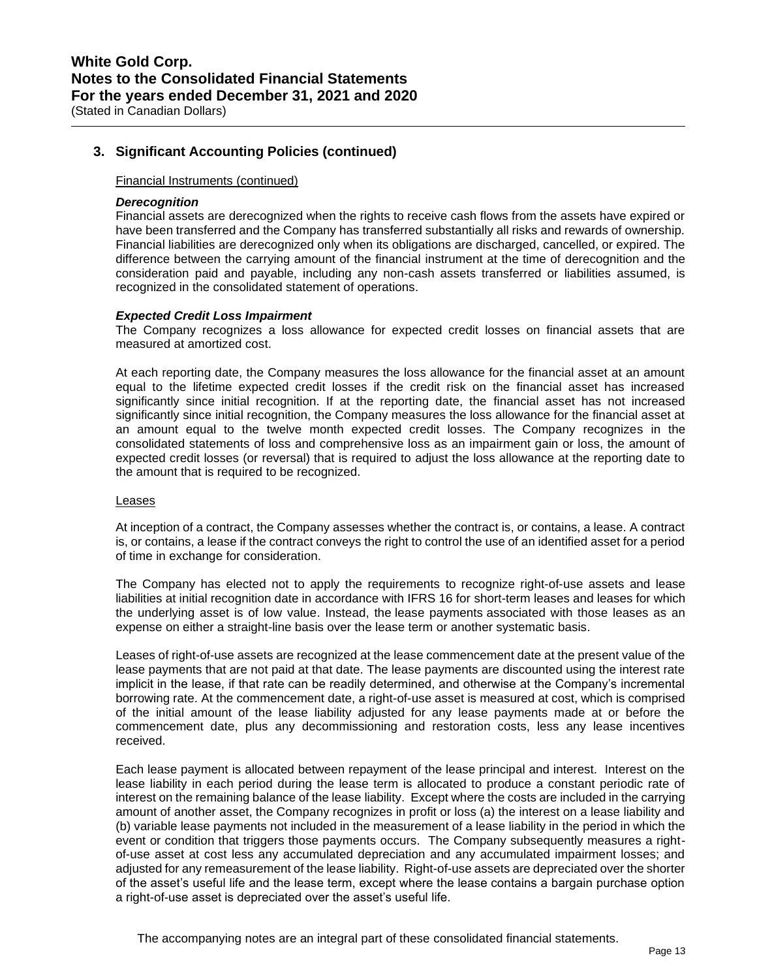# **3. Significant Accounting Policies (continued)**

#### Financial Instruments (continued)

#### *Derecognition*

Financial assets are derecognized when the rights to receive cash flows from the assets have expired or have been transferred and the Company has transferred substantially all risks and rewards of ownership. Financial liabilities are derecognized only when its obligations are discharged, cancelled, or expired. The difference between the carrying amount of the financial instrument at the time of derecognition and the consideration paid and payable, including any non-cash assets transferred or liabilities assumed, is recognized in the consolidated statement of operations.

#### *Expected Credit Loss Impairment*

The Company recognizes a loss allowance for expected credit losses on financial assets that are measured at amortized cost.

At each reporting date, the Company measures the loss allowance for the financial asset at an amount equal to the lifetime expected credit losses if the credit risk on the financial asset has increased significantly since initial recognition. If at the reporting date, the financial asset has not increased significantly since initial recognition, the Company measures the loss allowance for the financial asset at an amount equal to the twelve month expected credit losses. The Company recognizes in the consolidated statements of loss and comprehensive loss as an impairment gain or loss, the amount of expected credit losses (or reversal) that is required to adjust the loss allowance at the reporting date to the amount that is required to be recognized.

#### Leases

At inception of a contract, the Company assesses whether the contract is, or contains, a lease. A contract is, or contains, a lease if the contract conveys the right to control the use of an identified asset for a period of time in exchange for consideration.

The Company has elected not to apply the requirements to recognize right-of-use assets and lease liabilities at initial recognition date in accordance with IFRS 16 for short-term leases and leases for which the underlying asset is of low value. Instead, the lease payments associated with those leases as an expense on either a straight-line basis over the lease term or another systematic basis.

Leases of right-of-use assets are recognized at the lease commencement date at the present value of the lease payments that are not paid at that date. The lease payments are discounted using the interest rate implicit in the lease, if that rate can be readily determined, and otherwise at the Company's incremental borrowing rate. At the commencement date, a right-of-use asset is measured at cost, which is comprised of the initial amount of the lease liability adjusted for any lease payments made at or before the commencement date, plus any decommissioning and restoration costs, less any lease incentives received.

Each lease payment is allocated between repayment of the lease principal and interest. Interest on the lease liability in each period during the lease term is allocated to produce a constant periodic rate of interest on the remaining balance of the lease liability. Except where the costs are included in the carrying amount of another asset, the Company recognizes in profit or loss (a) the interest on a lease liability and (b) variable lease payments not included in the measurement of a lease liability in the period in which the event or condition that triggers those payments occurs. The Company subsequently measures a rightof-use asset at cost less any accumulated depreciation and any accumulated impairment losses; and adjusted for any remeasurement of the lease liability. Right-of-use assets are depreciated over the shorter of the asset's useful life and the lease term, except where the lease contains a bargain purchase option a right-of-use asset is depreciated over the asset's useful life.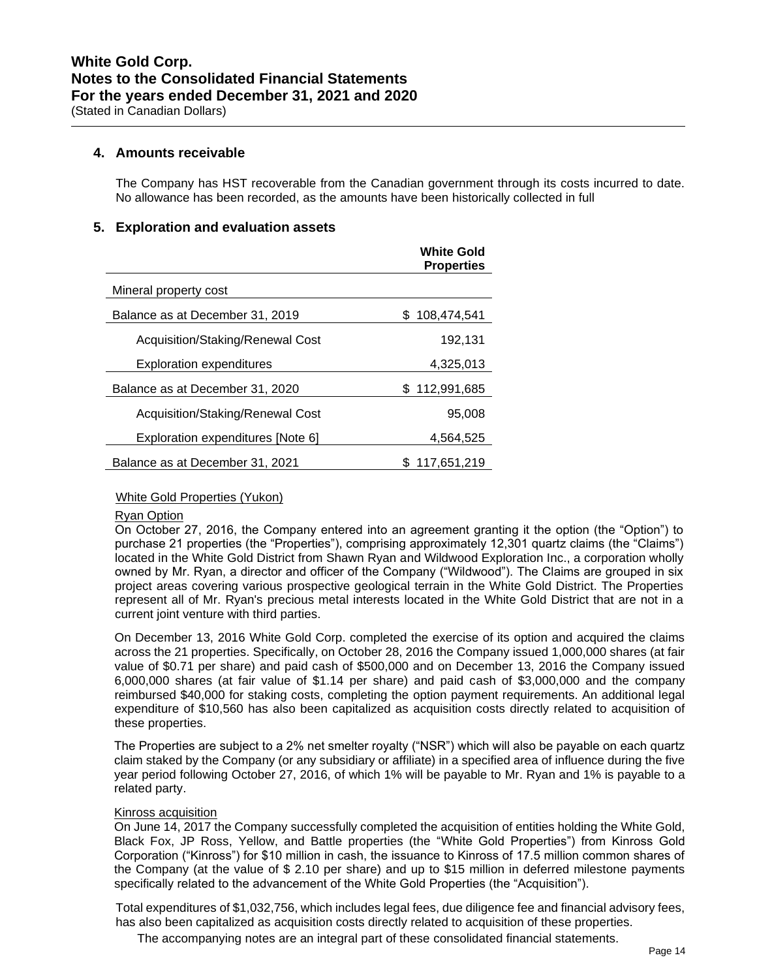## **4. Amounts receivable**

The Company has HST recoverable from the Canadian government through its costs incurred to date. No allowance has been recorded, as the amounts have been historically collected in full

## **5. Exploration and evaluation assets**

|                                   | <b>White Gold</b><br><b>Properties</b> |
|-----------------------------------|----------------------------------------|
| Mineral property cost             |                                        |
| Balance as at December 31, 2019   | \$108,474,541                          |
| Acquisition/Staking/Renewal Cost  | 192,131                                |
| <b>Exploration expenditures</b>   | 4,325,013                              |
| Balance as at December 31, 2020   | \$112,991,685                          |
| Acquisition/Staking/Renewal Cost  | 95,008                                 |
| Exploration expenditures [Note 6] | 4,564,525                              |
| Balance as at December 31, 2021   | \$117.651.219                          |

## White Gold Properties (Yukon)

#### Ryan Option

On October 27, 2016, the Company entered into an agreement granting it the option (the "Option") to purchase 21 properties (the "Properties"), comprising approximately 12,301 quartz claims (the "Claims") located in the White Gold District from Shawn Ryan and Wildwood Exploration Inc., a corporation wholly owned by Mr. Ryan, a director and officer of the Company ("Wildwood"). The Claims are grouped in six project areas covering various prospective geological terrain in the White Gold District. The Properties represent all of Mr. Ryan's precious metal interests located in the White Gold District that are not in a current joint venture with third parties.

On December 13, 2016 White Gold Corp. completed the exercise of its option and acquired the claims across the 21 properties. Specifically, on October 28, 2016 the Company issued 1,000,000 shares (at fair value of \$0.71 per share) and paid cash of \$500,000 and on December 13, 2016 the Company issued 6,000,000 shares (at fair value of \$1.14 per share) and paid cash of \$3,000,000 and the company reimbursed \$40,000 for staking costs, completing the option payment requirements. An additional legal expenditure of \$10,560 has also been capitalized as acquisition costs directly related to acquisition of these properties.

The Properties are subject to a 2% net smelter royalty ("NSR") which will also be payable on each quartz claim staked by the Company (or any subsidiary or affiliate) in a specified area of influence during the five year period following October 27, 2016, of which 1% will be payable to Mr. Ryan and 1% is payable to a related party.

#### Kinross acquisition

On June 14, 2017 the Company successfully completed the acquisition of entities holding the White Gold, Black Fox, JP Ross, Yellow, and Battle properties (the "White Gold Properties") from Kinross Gold Corporation ("Kinross") for \$10 million in cash, the issuance to Kinross of 17.5 million common shares of the Company (at the value of \$ 2.10 per share) and up to \$15 million in deferred milestone payments specifically related to the advancement of the White Gold Properties (the "Acquisition").

Total expenditures of \$1,032,756, which includes legal fees, due diligence fee and financial advisory fees, has also been capitalized as acquisition costs directly related to acquisition of these properties.

The accompanying notes are an integral part of these consolidated financial statements.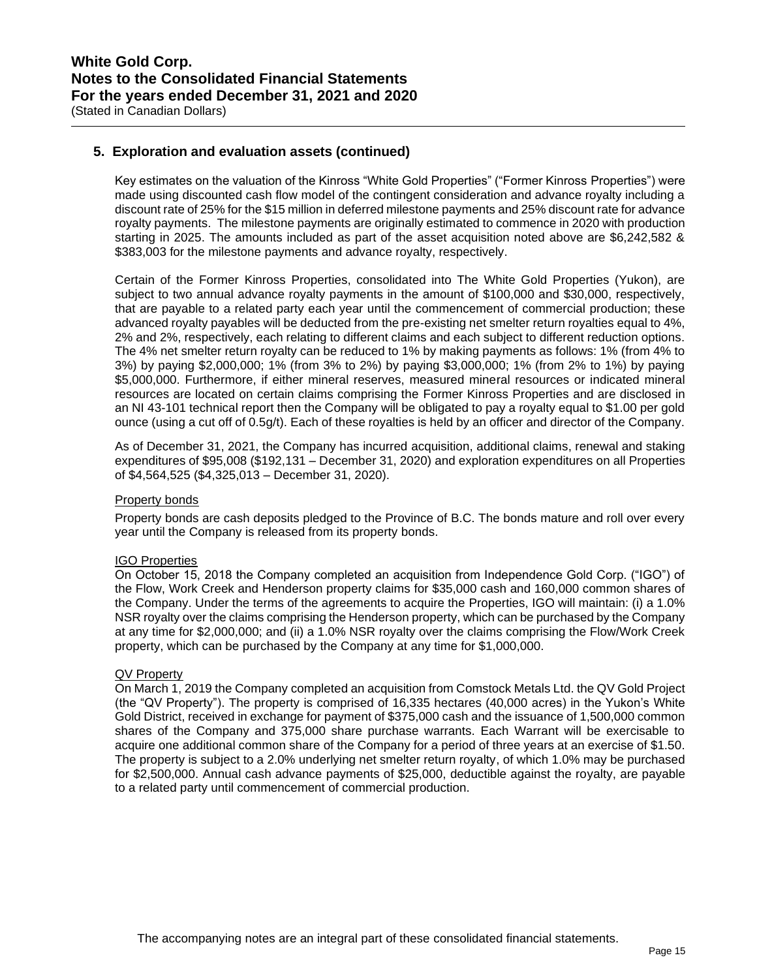# **5. Exploration and evaluation assets (continued)**

Key estimates on the valuation of the Kinross "White Gold Properties" ("Former Kinross Properties") were made using discounted cash flow model of the contingent consideration and advance royalty including a discount rate of 25% for the \$15 million in deferred milestone payments and 25% discount rate for advance royalty payments. The milestone payments are originally estimated to commence in 2020 with production starting in 2025. The amounts included as part of the asset acquisition noted above are \$6,242,582 & \$383,003 for the milestone payments and advance royalty, respectively.

Certain of the Former Kinross Properties, consolidated into The White Gold Properties (Yukon), are subject to two annual advance royalty payments in the amount of \$100,000 and \$30,000, respectively, that are payable to a related party each year until the commencement of commercial production; these advanced royalty payables will be deducted from the pre-existing net smelter return royalties equal to 4%, 2% and 2%, respectively, each relating to different claims and each subject to different reduction options. The 4% net smelter return royalty can be reduced to 1% by making payments as follows: 1% (from 4% to 3%) by paying \$2,000,000; 1% (from 3% to 2%) by paying \$3,000,000; 1% (from 2% to 1%) by paying \$5,000,000. Furthermore, if either mineral reserves, measured mineral resources or indicated mineral resources are located on certain claims comprising the Former Kinross Properties and are disclosed in an NI 43-101 technical report then the Company will be obligated to pay a royalty equal to \$1.00 per gold ounce (using a cut off of 0.5g/t). Each of these royalties is held by an officer and director of the Company.

As of December 31, 2021, the Company has incurred acquisition, additional claims, renewal and staking expenditures of \$95,008 (\$192,131 – December 31, 2020) and exploration expenditures on all Properties of \$4,564,525 (\$4,325,013 – December 31, 2020).

## Property bonds

Property bonds are cash deposits pledged to the Province of B.C. The bonds mature and roll over every year until the Company is released from its property bonds.

#### IGO Properties

On October 15, 2018 the Company completed an acquisition from Independence Gold Corp. ("IGO") of the Flow, Work Creek and Henderson property claims for \$35,000 cash and 160,000 common shares of the Company. Under the terms of the agreements to acquire the Properties, IGO will maintain: (i) a 1.0% NSR royalty over the claims comprising the Henderson property, which can be purchased by the Company at any time for \$2,000,000; and (ii) a 1.0% NSR royalty over the claims comprising the Flow/Work Creek property, which can be purchased by the Company at any time for \$1,000,000.

#### QV Property

On March 1, 2019 the Company completed an acquisition from Comstock Metals Ltd. the QV Gold Project (the "QV Property"). The property is comprised of 16,335 hectares (40,000 acres) in the Yukon's White Gold District, received in exchange for payment of \$375,000 cash and the issuance of 1,500,000 common shares of the Company and 375,000 share purchase warrants. Each Warrant will be exercisable to acquire one additional common share of the Company for a period of three years at an exercise of \$1.50. The property is subject to a 2.0% underlying net smelter return royalty, of which 1.0% may be purchased for \$2,500,000. Annual cash advance payments of \$25,000, deductible against the royalty, are payable to a related party until commencement of commercial production.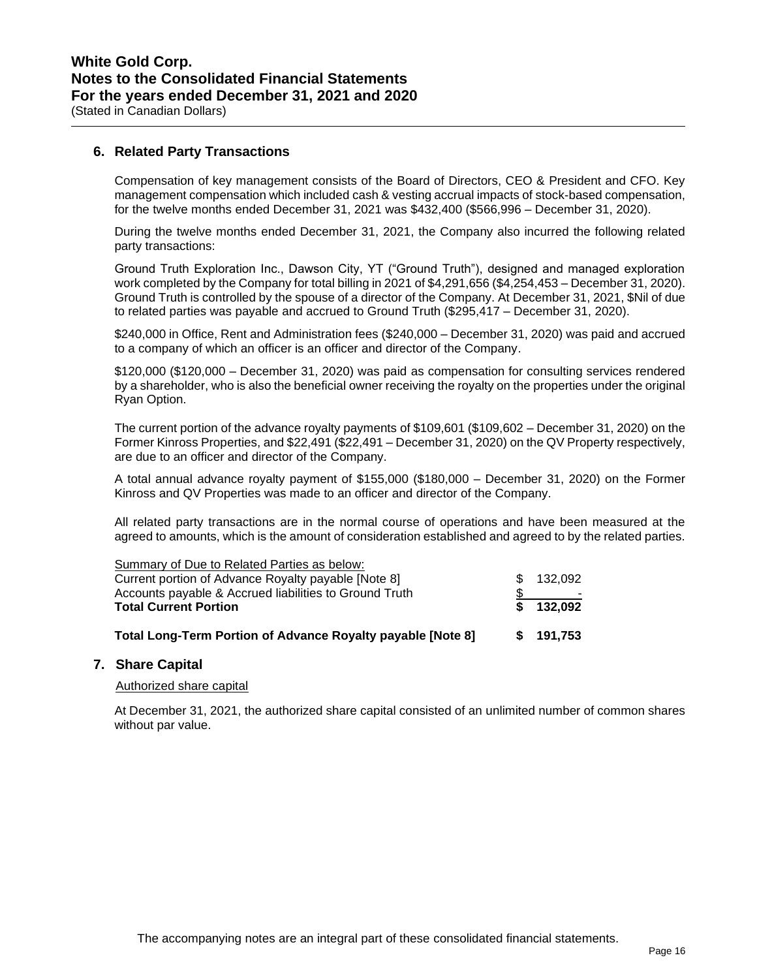# **6. Related Party Transactions**

Compensation of key management consists of the Board of Directors, CEO & President and CFO. Key management compensation which included cash & vesting accrual impacts of stock-based compensation, for the twelve months ended December 31, 2021 was \$432,400 (\$566,996 – December 31, 2020).

During the twelve months ended December 31, 2021, the Company also incurred the following related party transactions:

Ground Truth Exploration Inc., Dawson City, YT ("Ground Truth"), designed and managed exploration work completed by the Company for total billing in 2021 of \$4,291,656 (\$4,254,453 – December 31, 2020). Ground Truth is controlled by the spouse of a director of the Company. At December 31, 2021, \$Nil of due to related parties was payable and accrued to Ground Truth (\$295,417 – December 31, 2020).

\$240,000 in Office, Rent and Administration fees (\$240,000 – December 31, 2020) was paid and accrued to a company of which an officer is an officer and director of the Company.

\$120,000 (\$120,000 – December 31, 2020) was paid as compensation for consulting services rendered by a shareholder, who is also the beneficial owner receiving the royalty on the properties under the original Ryan Option.

The current portion of the advance royalty payments of \$109,601 (\$109,602 – December 31, 2020) on the Former Kinross Properties, and \$22,491 (\$22,491 – December 31, 2020) on the QV Property respectively, are due to an officer and director of the Company.

A total annual advance royalty payment of \$155,000 (\$180,000 – December 31, 2020) on the Former Kinross and QV Properties was made to an officer and director of the Company.

All related party transactions are in the normal course of operations and have been measured at the agreed to amounts, which is the amount of consideration established and agreed to by the related parties.

| Summary of Due to Related Parties as below:                 |     |            |
|-------------------------------------------------------------|-----|------------|
| Current portion of Advance Royalty payable [Note 8]         | \$. | 132,092    |
| Accounts payable & Accrued liabilities to Ground Truth      |     | -          |
| <b>Total Current Portion</b>                                | SS. | 132,092    |
|                                                             |     |            |
| Total Long-Term Portion of Advance Royalty payable [Note 8] |     | \$ 191,753 |
|                                                             |     |            |

## **7. Share Capital**

#### Authorized share capital

At December 31, 2021, the authorized share capital consisted of an unlimited number of common shares without par value.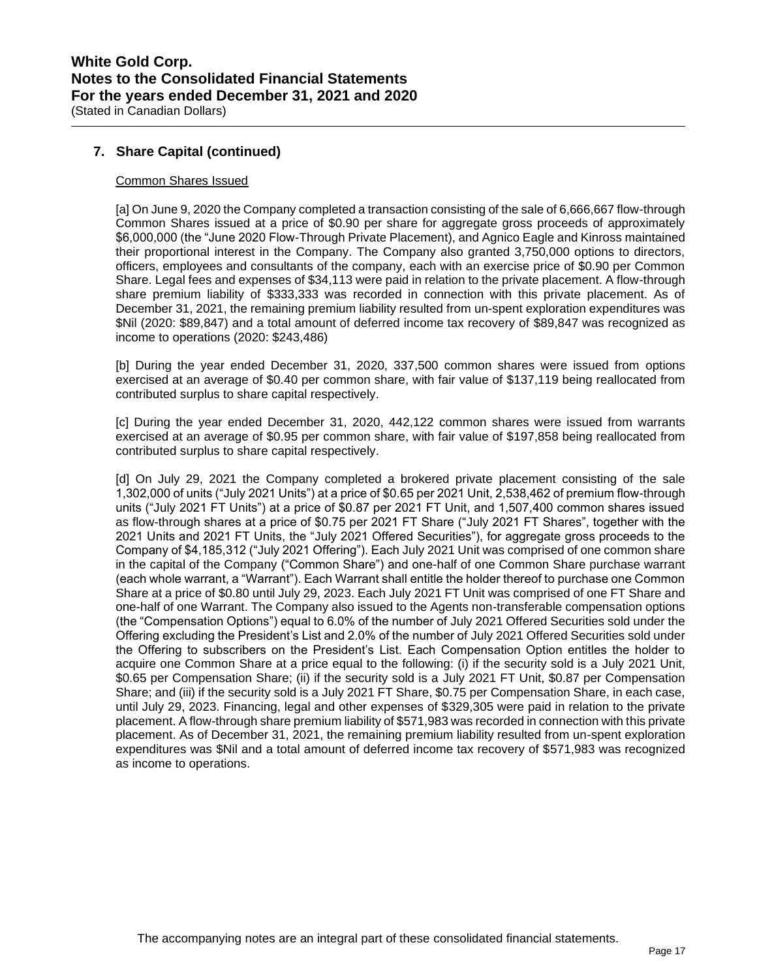# **7. Share Capital (continued)**

## Common Shares Issued

[a] On June 9, 2020 the Company completed a transaction consisting of the sale of 6,666,667 flow-through Common Shares issued at a price of \$0.90 per share for aggregate gross proceeds of approximately \$6,000,000 (the "June 2020 Flow-Through Private Placement), and Agnico Eagle and Kinross maintained their proportional interest in the Company. The Company also granted 3,750,000 options to directors, officers, employees and consultants of the company, each with an exercise price of \$0.90 per Common Share. Legal fees and expenses of \$34,113 were paid in relation to the private placement. A flow-through share premium liability of \$333,333 was recorded in connection with this private placement. As of December 31, 2021, the remaining premium liability resulted from un-spent exploration expenditures was \$Nil (2020: \$89,847) and a total amount of deferred income tax recovery of \$89,847 was recognized as income to operations (2020: \$243,486)

[b] During the year ended December 31, 2020, 337,500 common shares were issued from options exercised at an average of \$0.40 per common share, with fair value of \$137,119 being reallocated from contributed surplus to share capital respectively.

[c] During the year ended December 31, 2020, 442,122 common shares were issued from warrants exercised at an average of \$0.95 per common share, with fair value of \$197,858 being reallocated from contributed surplus to share capital respectively.

[d] On July 29, 2021 the Company completed a brokered private placement consisting of the sale 1,302,000 of units ("July 2021 Units") at a price of \$0.65 per 2021 Unit, 2,538,462 of premium flow-through units ("July 2021 FT Units") at a price of \$0.87 per 2021 FT Unit, and 1,507,400 common shares issued as flow-through shares at a price of \$0.75 per 2021 FT Share ("July 2021 FT Shares", together with the 2021 Units and 2021 FT Units, the "July 2021 Offered Securities"), for aggregate gross proceeds to the Company of \$4,185,312 ("July 2021 Offering"). Each July 2021 Unit was comprised of one common share in the capital of the Company ("Common Share") and one-half of one Common Share purchase warrant (each whole warrant, a "Warrant"). Each Warrant shall entitle the holder thereof to purchase one Common Share at a price of \$0.80 until July 29, 2023. Each July 2021 FT Unit was comprised of one FT Share and one-half of one Warrant. The Company also issued to the Agents non-transferable compensation options (the "Compensation Options") equal to 6.0% of the number of July 2021 Offered Securities sold under the Offering excluding the President's List and 2.0% of the number of July 2021 Offered Securities sold under the Offering to subscribers on the President's List. Each Compensation Option entitles the holder to acquire one Common Share at a price equal to the following: (i) if the security sold is a July 2021 Unit, \$0.65 per Compensation Share; (ii) if the security sold is a July 2021 FT Unit, \$0.87 per Compensation Share; and (iii) if the security sold is a July 2021 FT Share, \$0.75 per Compensation Share, in each case, until July 29, 2023. Financing, legal and other expenses of \$329,305 were paid in relation to the private placement. A flow-through share premium liability of \$571,983 was recorded in connection with this private placement. As of December 31, 2021, the remaining premium liability resulted from un-spent exploration expenditures was \$Nil and a total amount of deferred income tax recovery of \$571,983 was recognized as income to operations.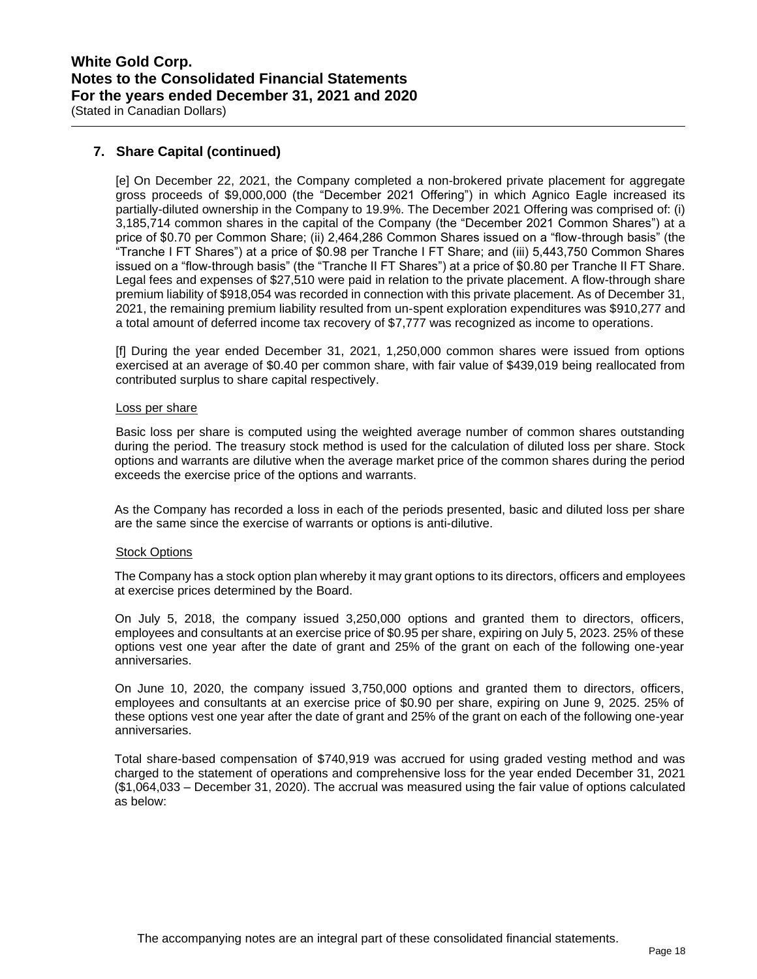# **7. Share Capital (continued)**

[e] On December 22, 2021, the Company completed a non-brokered private placement for aggregate gross proceeds of \$9,000,000 (the "December 2021 Offering") in which Agnico Eagle increased its partially-diluted ownership in the Company to 19.9%. The December 2021 Offering was comprised of: (i) 3,185,714 common shares in the capital of the Company (the "December 2021 Common Shares") at a price of \$0.70 per Common Share; (ii) 2,464,286 Common Shares issued on a "flow-through basis" (the "Tranche I FT Shares") at a price of \$0.98 per Tranche I FT Share; and (iii) 5,443,750 Common Shares issued on a "flow-through basis" (the "Tranche II FT Shares") at a price of \$0.80 per Tranche II FT Share. Legal fees and expenses of \$27,510 were paid in relation to the private placement. A flow-through share premium liability of \$918,054 was recorded in connection with this private placement. As of December 31, 2021, the remaining premium liability resulted from un-spent exploration expenditures was \$910,277 and a total amount of deferred income tax recovery of \$7,777 was recognized as income to operations.

[f] During the year ended December 31, 2021, 1,250,000 common shares were issued from options exercised at an average of \$0.40 per common share, with fair value of \$439,019 being reallocated from contributed surplus to share capital respectively.

#### Loss per share

Basic loss per share is computed using the weighted average number of common shares outstanding during the period. The treasury stock method is used for the calculation of diluted loss per share. Stock options and warrants are dilutive when the average market price of the common shares during the period exceeds the exercise price of the options and warrants.

As the Company has recorded a loss in each of the periods presented, basic and diluted loss per share are the same since the exercise of warrants or options is anti-dilutive.

## Stock Options

The Company has a stock option plan whereby it may grant options to its directors, officers and employees at exercise prices determined by the Board.

On July 5, 2018, the company issued 3,250,000 options and granted them to directors, officers, employees and consultants at an exercise price of \$0.95 per share, expiring on July 5, 2023. 25% of these options vest one year after the date of grant and 25% of the grant on each of the following one-year anniversaries.

On June 10, 2020, the company issued 3,750,000 options and granted them to directors, officers, employees and consultants at an exercise price of \$0.90 per share, expiring on June 9, 2025. 25% of these options vest one year after the date of grant and 25% of the grant on each of the following one-year anniversaries.

Total share-based compensation of \$740,919 was accrued for using graded vesting method and was charged to the statement of operations and comprehensive loss for the year ended December 31, 2021 (\$1,064,033 – December 31, 2020). The accrual was measured using the fair value of options calculated as below: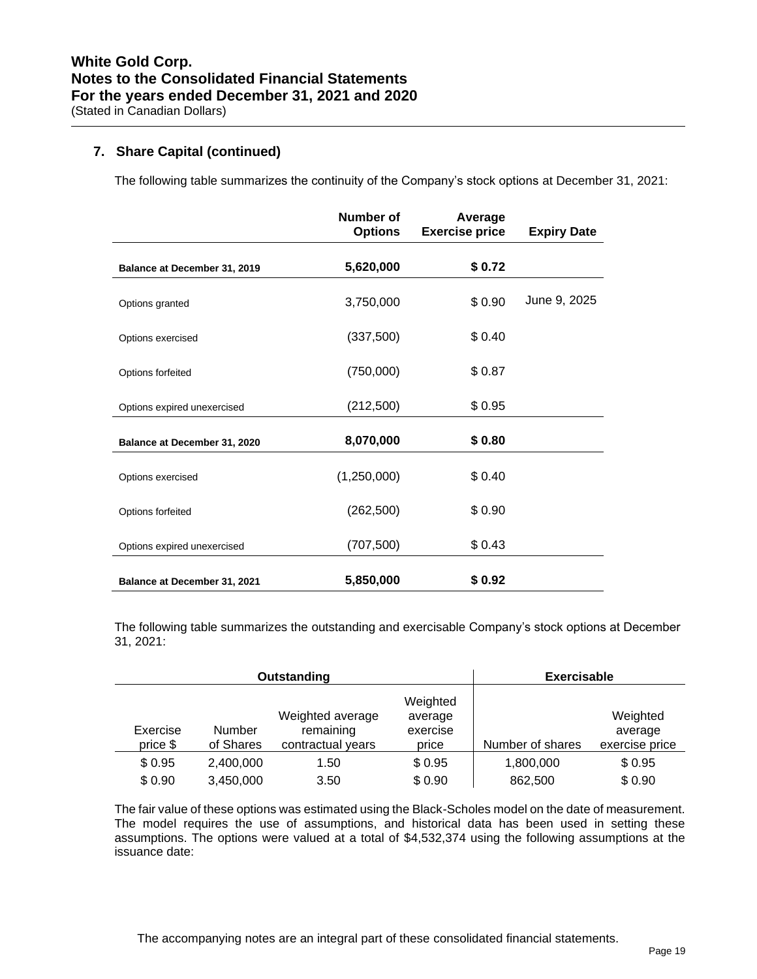# **7. Share Capital (continued)**

The following table summarizes the continuity of the Company's stock options at December 31, 2021:

|                                     | Number of<br><b>Options</b> | Average<br><b>Exercise price</b> | <b>Expiry Date</b> |
|-------------------------------------|-----------------------------|----------------------------------|--------------------|
| Balance at December 31, 2019        | 5,620,000                   | \$0.72                           |                    |
| Options granted                     | 3,750,000                   | \$0.90                           | June 9, 2025       |
| Options exercised                   | (337,500)                   | \$0.40                           |                    |
| Options forfeited                   | (750,000)                   | \$0.87                           |                    |
| Options expired unexercised         | (212,500)                   | \$0.95                           |                    |
| Balance at December 31, 2020        | 8,070,000                   | \$0.80                           |                    |
| Options exercised                   | (1,250,000)                 | \$0.40                           |                    |
| Options forfeited                   | (262, 500)                  | \$0.90                           |                    |
| Options expired unexercised         | (707, 500)                  | \$0.43                           |                    |
| <b>Balance at December 31, 2021</b> | 5,850,000                   | \$0.92                           |                    |

The following table summarizes the outstanding and exercisable Company's stock options at December 31, 2021:

|                      | Outstanding         | <b>Exercisable</b>                                 |                                          |                  |                                       |
|----------------------|---------------------|----------------------------------------------------|------------------------------------------|------------------|---------------------------------------|
| Exercise<br>price \$ | Number<br>of Shares | Weighted average<br>remaining<br>contractual years | Weighted<br>average<br>exercise<br>price | Number of shares | Weighted<br>average<br>exercise price |
| \$0.95               | 2,400,000           | 1.50                                               | \$0.95                                   | 1,800,000        | \$0.95                                |
| \$0.90               | 3,450,000           | 3.50                                               | \$0.90                                   | 862,500          | \$0.90                                |

The fair value of these options was estimated using the Black-Scholes model on the date of measurement. The model requires the use of assumptions, and historical data has been used in setting these assumptions. The options were valued at a total of \$4,532,374 using the following assumptions at the issuance date: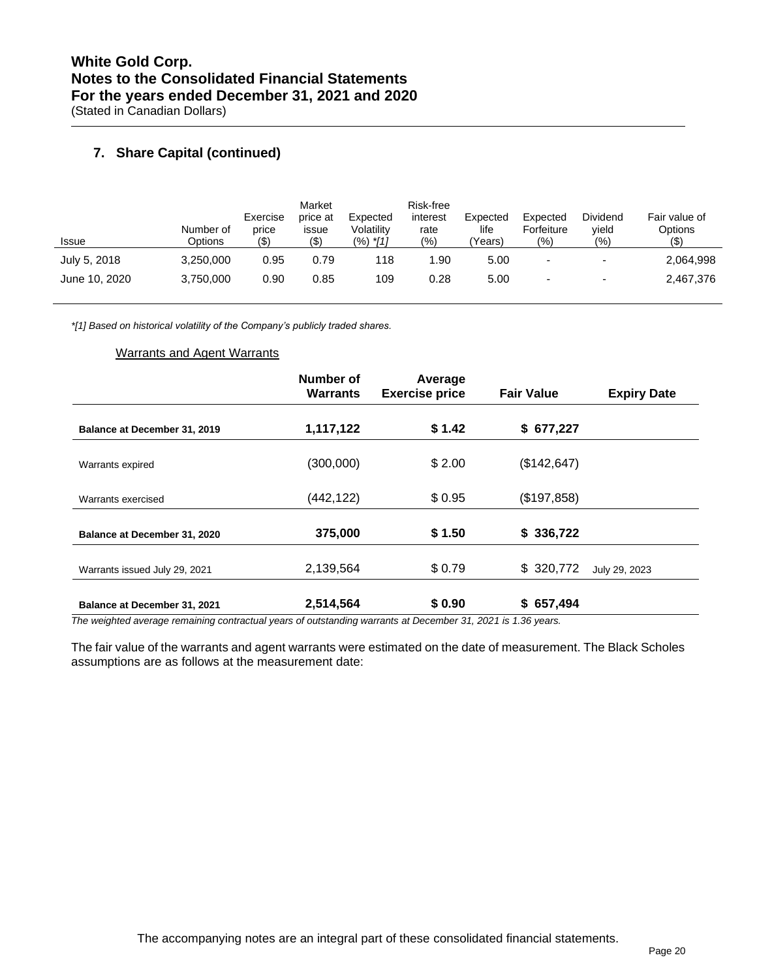# **7. Share Capital (continued)**

| <b>Issue</b>  | Number of<br>Options | Exercise<br>price<br>(\$) | Market<br>price at<br>issue<br>(\$` | Expected<br>Volatility<br>(%)<br>*[1] | Risk-free<br>interest<br>rate<br>(9/0) | Expected<br>life<br>'Years) | Expected<br>Forfeiture<br>(9/0) | <b>Dividend</b><br>vield<br>$(\% )$ | Fair value of<br>Options<br>(\$) |
|---------------|----------------------|---------------------------|-------------------------------------|---------------------------------------|----------------------------------------|-----------------------------|---------------------------------|-------------------------------------|----------------------------------|
| July 5, 2018  | 3.250.000            | 0.95                      | 0.79                                | 118                                   | .90                                    | 5.00                        | $\overline{\phantom{a}}$        | $\overline{a}$                      | 2,064,998                        |
| June 10, 2020 | 3.750.000            | 0.90                      | 0.85                                | 109                                   | 0.28                                   | 5.00                        | $\overline{\phantom{0}}$        | $\overline{\phantom{0}}$            | 2,467,376                        |

*\*[1] Based on historical volatility of the Company's publicly traded shares.*

#### Warrants and Agent Warrants

|                               | Number of<br><b>Warrants</b> | Average<br><b>Exercise price</b> | <b>Fair Value</b> | <b>Expiry Date</b> |
|-------------------------------|------------------------------|----------------------------------|-------------------|--------------------|
| Balance at December 31, 2019  | 1,117,122                    | \$1.42                           | \$677,227         |                    |
| Warrants expired              | (300,000)                    | \$2.00                           | (\$142, 647)      |                    |
| Warrants exercised            | (442,122)                    | \$0.95                           | (\$197,858)       |                    |
| Balance at December 31, 2020  | 375,000                      | \$1.50                           | \$336,722         |                    |
| Warrants issued July 29, 2021 | 2,139,564                    | \$0.79                           | \$320,772         | July 29, 2023      |
| Balance at December 31, 2021  | 2,514,564                    | \$0.90                           | \$657,494         |                    |

*The weighted average remaining contractual years of outstanding warrants at December 31, 2021 is 1.36 years.*

The fair value of the warrants and agent warrants were estimated on the date of measurement. The Black Scholes assumptions are as follows at the measurement date: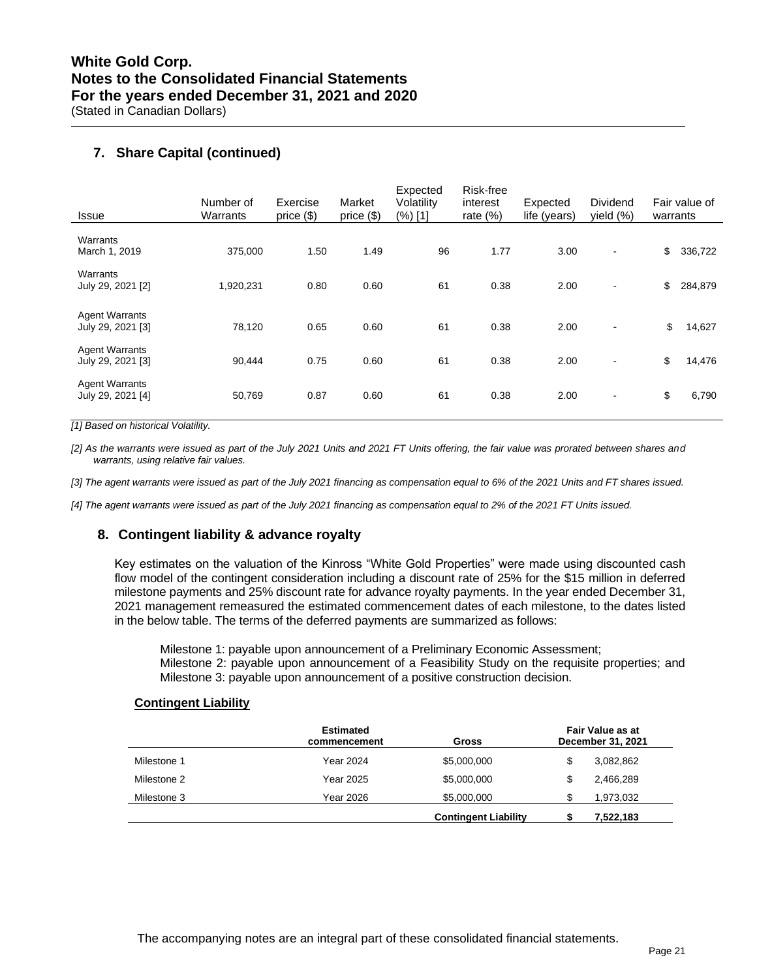# **7. Share Capital (continued)**

| <b>Issue</b>                               | Number of<br>Warrants | Exercise<br>price $(\$)$ | Market<br>price $(\$)$ | Expected<br>Volatility<br>(%) [1] | Risk-free<br>interest<br>rate $(\%)$ | Expected<br>life (years) | <b>Dividend</b><br>yield (%) | warrants | Fair value of |
|--------------------------------------------|-----------------------|--------------------------|------------------------|-----------------------------------|--------------------------------------|--------------------------|------------------------------|----------|---------------|
| Warrants<br>March 1, 2019                  | 375,000               | 1.50                     | 1.49                   | 96                                | 1.77                                 | 3.00                     | $\overline{\phantom{0}}$     | \$       | 336,722       |
| Warrants<br>July 29, 2021 [2]              | 1,920,231             | 0.80                     | 0.60                   | 61                                | 0.38                                 | 2.00                     | $\blacksquare$               | \$       | 284,879       |
| <b>Agent Warrants</b><br>July 29, 2021 [3] | 78,120                | 0.65                     | 0.60                   | 61                                | 0.38                                 | 2.00                     | ٠                            | \$       | 14,627        |
| <b>Agent Warrants</b><br>July 29, 2021 [3] | 90,444                | 0.75                     | 0.60                   | 61                                | 0.38                                 | 2.00                     | $\overline{\phantom{a}}$     | \$       | 14,476        |
| <b>Agent Warrants</b><br>July 29, 2021 [4] | 50,769                | 0.87                     | 0.60                   | 61                                | 0.38                                 | 2.00                     | $\blacksquare$               | \$       | 6,790         |

*[1] Based on historical Volatility.*

*[2] As the warrants were issued as part of the July 2021 Units and 2021 FT Units offering, the fair value was prorated between shares and warrants, using relative fair values.*

*[3] The agent warrants were issued as part of the July 2021 financing as compensation equal to 6% of the 2021 Units and FT shares issued.*

*[4] The agent warrants were issued as part of the July 2021 financing as compensation equal to 2% of the 2021 FT Units issued.*

# **8. Contingent liability & advance royalty**

Key estimates on the valuation of the Kinross "White Gold Properties" were made using discounted cash flow model of the contingent consideration including a discount rate of 25% for the \$15 million in deferred milestone payments and 25% discount rate for advance royalty payments. In the year ended December 31, 2021 management remeasured the estimated commencement dates of each milestone, to the dates listed in the below table. The terms of the deferred payments are summarized as follows:

Milestone 1: payable upon announcement of a Preliminary Economic Assessment; Milestone 2: payable upon announcement of a Feasibility Study on the requisite properties; and Milestone 3: payable upon announcement of a positive construction decision.

#### **Contingent Liability**

|             | <b>Estimated</b><br>commencement | Gross                       | <b>Fair Value as at</b><br>December 31, 2021 |           |  |
|-------------|----------------------------------|-----------------------------|----------------------------------------------|-----------|--|
| Milestone 1 | Year 2024                        | \$5,000,000                 | \$                                           | 3,082,862 |  |
| Milestone 2 | Year 2025                        | \$5,000,000                 | \$                                           | 2,466,289 |  |
| Milestone 3 | Year 2026                        | \$5,000,000                 | S                                            | 1,973,032 |  |
|             |                                  | <b>Contingent Liability</b> |                                              | 7,522,183 |  |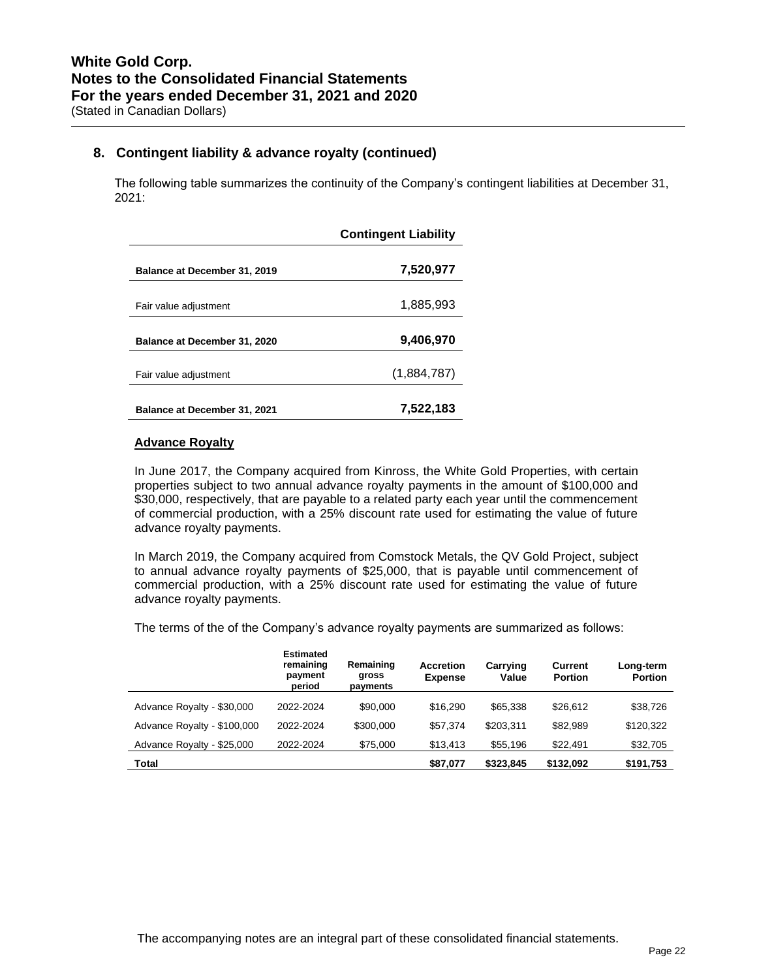# **8. Contingent liability & advance royalty (continued)**

The following table summarizes the continuity of the Company's contingent liabilities at December 31, 2021:

|                                     | <b>Contingent Liability</b> |  |  |
|-------------------------------------|-----------------------------|--|--|
|                                     |                             |  |  |
| Balance at December 31, 2019        | 7,520,977                   |  |  |
|                                     |                             |  |  |
| Fair value adjustment               | 1,885,993                   |  |  |
|                                     |                             |  |  |
| Balance at December 31, 2020        | 9,406,970                   |  |  |
|                                     |                             |  |  |
| Fair value adjustment               | (1,884,787)                 |  |  |
|                                     |                             |  |  |
| <b>Balance at December 31, 2021</b> | 7,522,183                   |  |  |

## **Advance Royalty**

In June 2017, the Company acquired from Kinross, the White Gold Properties, with certain properties subject to two annual advance royalty payments in the amount of \$100,000 and \$30,000, respectively, that are payable to a related party each year until the commencement of commercial production, with a 25% discount rate used for estimating the value of future advance royalty payments.

In March 2019, the Company acquired from Comstock Metals, the QV Gold Project, subject to annual advance royalty payments of \$25,000, that is payable until commencement of commercial production, with a 25% discount rate used for estimating the value of future advance royalty payments.

The terms of the of the Company's advance royalty payments are summarized as follows:

|                             | <b>Estimated</b><br>remaining<br>payment<br>period | Remaining<br>gross<br>payments | <b>Accretion</b><br><b>Expense</b> | Carrying<br>Value | <b>Current</b><br><b>Portion</b> | Long-term<br><b>Portion</b> |
|-----------------------------|----------------------------------------------------|--------------------------------|------------------------------------|-------------------|----------------------------------|-----------------------------|
| Advance Royalty - \$30,000  | 2022-2024                                          | \$90,000                       | \$16,290                           | \$65,338          | \$26,612                         | \$38,726                    |
| Advance Royalty - \$100,000 | 2022-2024                                          | \$300,000                      | \$57.374                           | \$203.311         | \$82.989                         | \$120,322                   |
| Advance Royalty - \$25,000  | 2022-2024                                          | \$75,000                       | \$13,413                           | \$55,196          | \$22,491                         | \$32,705                    |
| Total                       |                                                    |                                | \$87,077                           | \$323,845         | \$132,092                        | \$191,753                   |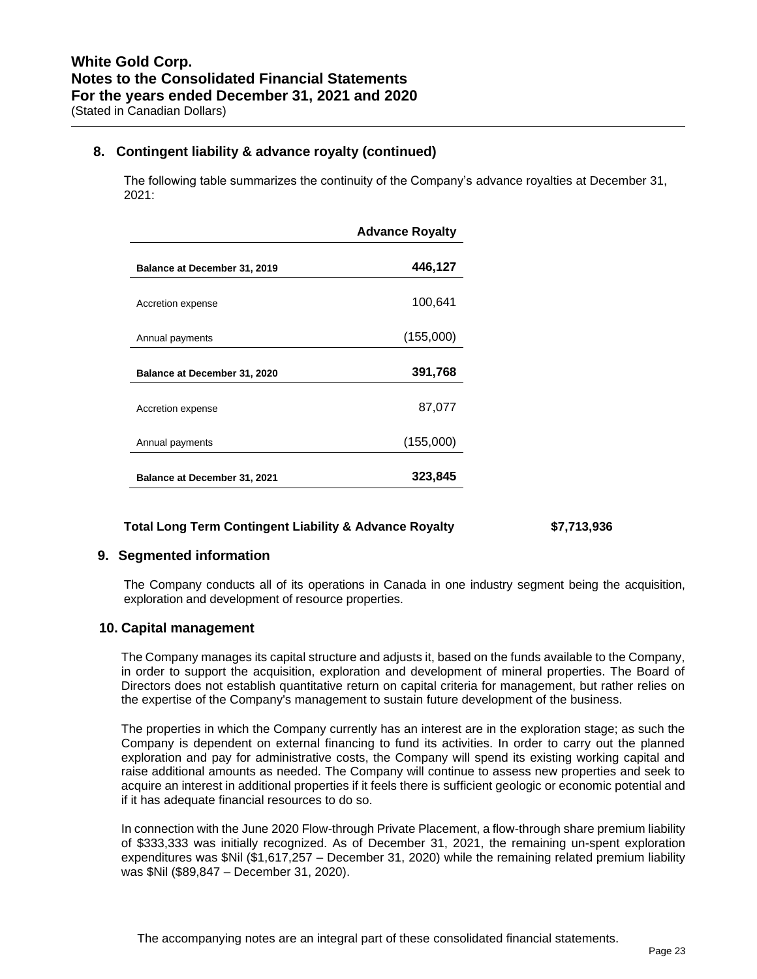# **8. Contingent liability & advance royalty (continued)**

The following table summarizes the continuity of the Company's advance royalties at December 31, 2021:

|                                     | <b>Advance Royalty</b> |
|-------------------------------------|------------------------|
| Balance at December 31, 2019        | 446,127                |
| Accretion expense                   | 100,641                |
| Annual payments                     | (155,000)              |
| Balance at December 31, 2020        | 391,768                |
| Accretion expense                   | 87,077                 |
| Annual payments                     | (155,000)              |
| <b>Balance at December 31, 2021</b> | 323,845                |

## **Total Long Term Contingent Liability & Advance Royalty \$7,713,936**

## **9. Segmented information**

The Company conducts all of its operations in Canada in one industry segment being the acquisition, exploration and development of resource properties.

## **10. Capital management**

The Company manages its capital structure and adjusts it, based on the funds available to the Company, in order to support the acquisition, exploration and development of mineral properties. The Board of Directors does not establish quantitative return on capital criteria for management, but rather relies on the expertise of the Company's management to sustain future development of the business.

The properties in which the Company currently has an interest are in the exploration stage; as such the Company is dependent on external financing to fund its activities. In order to carry out the planned exploration and pay for administrative costs, the Company will spend its existing working capital and raise additional amounts as needed. The Company will continue to assess new properties and seek to acquire an interest in additional properties if it feels there is sufficient geologic or economic potential and if it has adequate financial resources to do so.

In connection with the June 2020 Flow-through Private Placement, a flow-through share premium liability of \$333,333 was initially recognized. As of December 31, 2021, the remaining un-spent exploration expenditures was \$Nil (\$1,617,257 – December 31, 2020) while the remaining related premium liability was \$Nil (\$89,847 – December 31, 2020).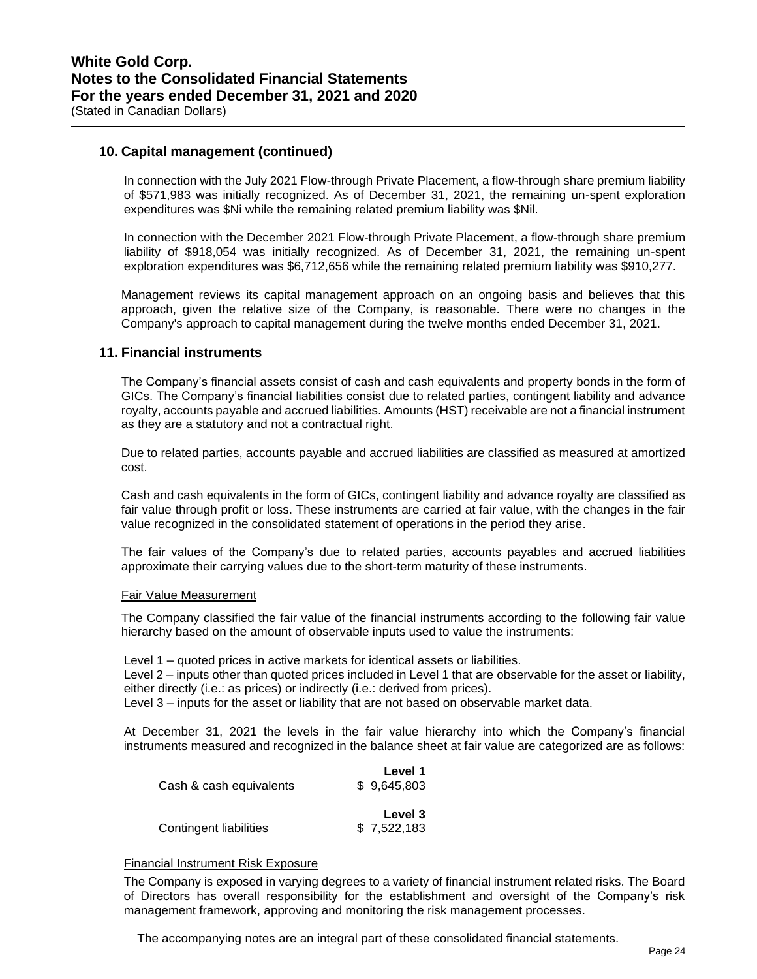## **10. Capital management (continued)**

In connection with the July 2021 Flow-through Private Placement, a flow-through share premium liability of \$571,983 was initially recognized. As of December 31, 2021, the remaining un-spent exploration expenditures was \$Ni while the remaining related premium liability was \$Nil.

In connection with the December 2021 Flow-through Private Placement, a flow-through share premium liability of \$918,054 was initially recognized. As of December 31, 2021, the remaining un-spent exploration expenditures was \$6,712,656 while the remaining related premium liability was \$910,277.

Management reviews its capital management approach on an ongoing basis and believes that this approach, given the relative size of the Company, is reasonable. There were no changes in the Company's approach to capital management during the twelve months ended December 31, 2021.

## **11. Financial instruments**

The Company's financial assets consist of cash and cash equivalents and property bonds in the form of GICs. The Company's financial liabilities consist due to related parties, contingent liability and advance royalty, accounts payable and accrued liabilities. Amounts (HST) receivable are not a financial instrument as they are a statutory and not a contractual right.

Due to related parties, accounts payable and accrued liabilities are classified as measured at amortized cost.

Cash and cash equivalents in the form of GICs, contingent liability and advance royalty are classified as fair value through profit or loss. These instruments are carried at fair value, with the changes in the fair value recognized in the consolidated statement of operations in the period they arise.

The fair values of the Company's due to related parties, accounts payables and accrued liabilities approximate their carrying values due to the short-term maturity of these instruments.

#### Fair Value Measurement

The Company classified the fair value of the financial instruments according to the following fair value hierarchy based on the amount of observable inputs used to value the instruments:

Level 1 – quoted prices in active markets for identical assets or liabilities.

Level 2 – inputs other than quoted prices included in Level 1 that are observable for the asset or liability, either directly (i.e.: as prices) or indirectly (i.e.: derived from prices).

Level 3 – inputs for the asset or liability that are not based on observable market data.

At December 31, 2021 the levels in the fair value hierarchy into which the Company's financial instruments measured and recognized in the balance sheet at fair value are categorized are as follows:

|                         | Level 1<br>\$9,645,803 |
|-------------------------|------------------------|
| Cash & cash equivalents |                        |
|                         | Level 3                |
| Contingent liabilities  | \$7,522,183            |

## Financial Instrument Risk Exposure

The Company is exposed in varying degrees to a variety of financial instrument related risks. The Board of Directors has overall responsibility for the establishment and oversight of the Company's risk management framework, approving and monitoring the risk management processes.

The accompanying notes are an integral part of these consolidated financial statements.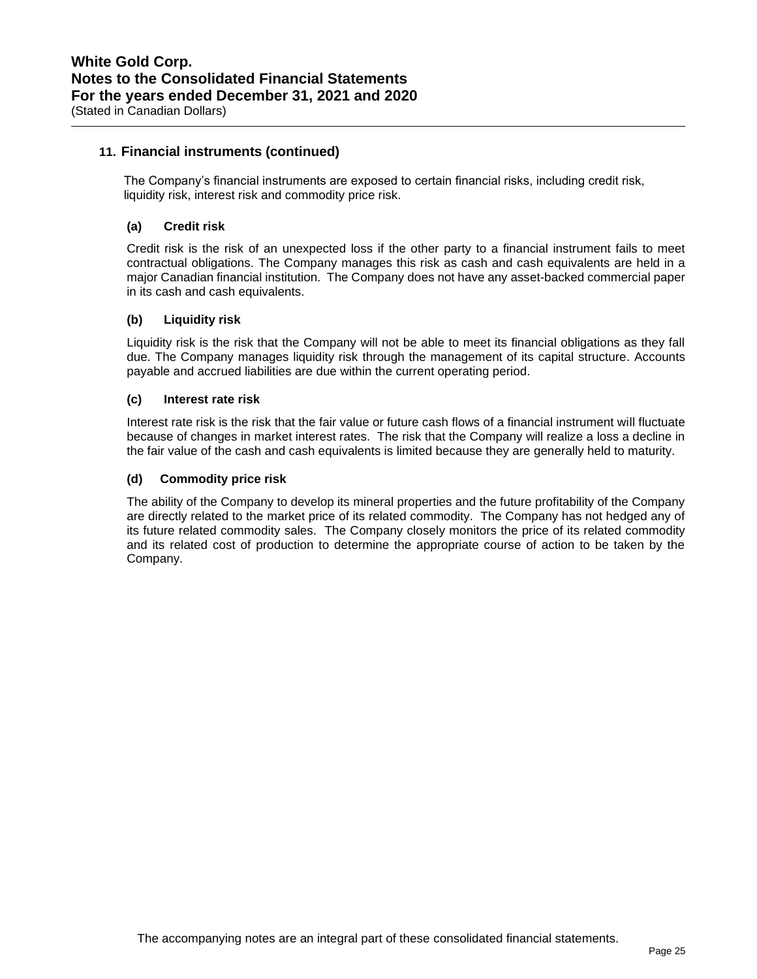## **11. Financial instruments (continued)**

The Company's financial instruments are exposed to certain financial risks, including credit risk, liquidity risk, interest risk and commodity price risk.

#### **(a) Credit risk**

Credit risk is the risk of an unexpected loss if the other party to a financial instrument fails to meet contractual obligations. The Company manages this risk as cash and cash equivalents are held in a major Canadian financial institution. The Company does not have any asset-backed commercial paper in its cash and cash equivalents.

## **(b) Liquidity risk**

Liquidity risk is the risk that the Company will not be able to meet its financial obligations as they fall due. The Company manages liquidity risk through the management of its capital structure. Accounts payable and accrued liabilities are due within the current operating period.

### **(c) Interest rate risk**

Interest rate risk is the risk that the fair value or future cash flows of a financial instrument will fluctuate because of changes in market interest rates. The risk that the Company will realize a loss a decline in the fair value of the cash and cash equivalents is limited because they are generally held to maturity.

#### **(d) Commodity price risk**

The ability of the Company to develop its mineral properties and the future profitability of the Company are directly related to the market price of its related commodity. The Company has not hedged any of its future related commodity sales. The Company closely monitors the price of its related commodity and its related cost of production to determine the appropriate course of action to be taken by the Company.